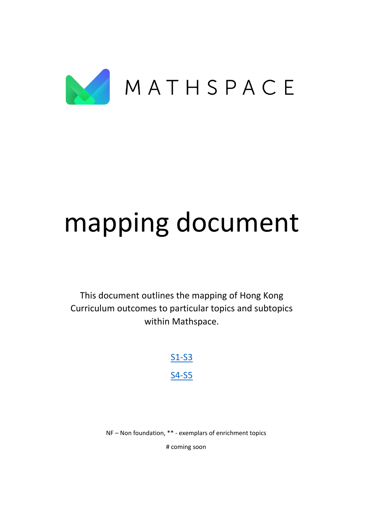

# mapping document

This document outlines the mapping of Hong Kong Curriculum outcomes to particular topics and subtopics within Mathspace.

> [S1-S3](#page-1-0) [S4-S5](#page-22-0)

NF – Non foundation, \*\* - exemplars of enrichment topics

# coming soon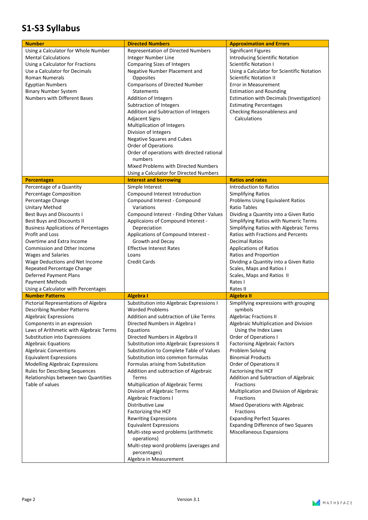### <span id="page-1-0"></span>**S1-S3 Syllabus**

| <b>Number</b><br>Using a Calculator for Whole Number<br><b>Mental Calculations</b><br>Using a Calculator for Fractions<br>Use a Calculator for Decimals<br><b>Roman Numerals</b><br><b>Egyptian Numbers</b><br><b>Binary Number System</b><br><b>Numbers with Different Bases</b>                                                                                                                                                                                                 | <b>Directed Numbers</b><br><b>Representation of Directed Numbers</b><br>Integer Number Line<br><b>Comparing Sizes of Integers</b><br>Negative Number Placement and<br>Opposites<br><b>Comparisons of Directed Number</b><br><b>Statements</b><br>Addition of Integers<br>Subtraction of Integers<br>Addition and Subtraction of Integers<br><b>Adjacent Signs</b><br>Multiplication of Integers<br>Division of Integers<br><b>Negative Squares and Cubes</b><br>Order of Operations<br>Order of operations with directed rational<br>numbers<br>Mixed Problems with Directed Numbers                                                                                                                                                                                            | <b>Approximation and Errors</b><br><b>Significant Figures</b><br>Introducing Scientific Notation<br><b>Scientific Notation I</b><br>Using a Calculator for Scientific Notation<br><b>Scientific Notation II</b><br>Error in Measurement<br><b>Estimation and Rounding</b><br>Estimation with Decimals (Investigation)<br><b>Estimating Percentages</b><br>Checking Reasonableness and<br>Calculations                                                                                                                                                                                     |
|-----------------------------------------------------------------------------------------------------------------------------------------------------------------------------------------------------------------------------------------------------------------------------------------------------------------------------------------------------------------------------------------------------------------------------------------------------------------------------------|---------------------------------------------------------------------------------------------------------------------------------------------------------------------------------------------------------------------------------------------------------------------------------------------------------------------------------------------------------------------------------------------------------------------------------------------------------------------------------------------------------------------------------------------------------------------------------------------------------------------------------------------------------------------------------------------------------------------------------------------------------------------------------|-------------------------------------------------------------------------------------------------------------------------------------------------------------------------------------------------------------------------------------------------------------------------------------------------------------------------------------------------------------------------------------------------------------------------------------------------------------------------------------------------------------------------------------------------------------------------------------------|
|                                                                                                                                                                                                                                                                                                                                                                                                                                                                                   | Using a Calculator for Directed Numbers                                                                                                                                                                                                                                                                                                                                                                                                                                                                                                                                                                                                                                                                                                                                         |                                                                                                                                                                                                                                                                                                                                                                                                                                                                                                                                                                                           |
| <b>Percentages</b>                                                                                                                                                                                                                                                                                                                                                                                                                                                                | <b>Interest and borrowing</b>                                                                                                                                                                                                                                                                                                                                                                                                                                                                                                                                                                                                                                                                                                                                                   | <b>Ratios and rates</b>                                                                                                                                                                                                                                                                                                                                                                                                                                                                                                                                                                   |
| Percentage of a Quantity<br>Percentage Composition<br>Percentage Change<br><b>Unitary Method</b><br>Best Buys and Discounts I<br>Best Buys and Discounts II<br><b>Business Applications of Percentages</b><br>Profit and Loss<br>Overtime and Extra Income<br><b>Commission and Other Income</b><br><b>Wages and Salaries</b><br>Wage Deductions and Net Income<br>Repeated Percentage Change<br>Deferred Payment Plans<br>Payment Methods<br>Using a Calculator with Percentages | Simple Interest<br>Compound Interest Introduction<br>Compound Interest - Compound<br>Variations<br>Compound Interest - Finding Other Values<br>Applicaions of Compound Interest -<br>Depreciation<br>Applications of Compound Interest -<br>Growth and Decay<br><b>Effective Interest Rates</b><br>Loans<br><b>Credit Cards</b>                                                                                                                                                                                                                                                                                                                                                                                                                                                 | Introduction to Ratios<br><b>Simplifying Ratios</b><br>Problems Using Equivalent Ratios<br>Ratio Tables<br>Dividing a Quantity into a Given Ratio<br>Simplifying Ratios with Numeric Terms<br>Simplifying Ratios with Algebraic Terms<br>Ratios with Fractions and Percents<br><b>Decimal Ratios</b><br><b>Applications of Ratios</b><br>Ratios and Proportion<br>Dividing a Quantity into a Given Ratio<br>Scales, Maps and Ratios I<br>Scales, Maps and Ratios II<br>Rates I<br>Rates II                                                                                                |
| <b>Number Patterns</b>                                                                                                                                                                                                                                                                                                                                                                                                                                                            | <b>Algebra I</b>                                                                                                                                                                                                                                                                                                                                                                                                                                                                                                                                                                                                                                                                                                                                                                | <b>Algebra II</b>                                                                                                                                                                                                                                                                                                                                                                                                                                                                                                                                                                         |
| Pictorial Representations of Algebra<br><b>Describing Number Patterns</b><br>Algebraic Expressions<br>Components in an expression<br>Laws of Arithmetic with Algebraic Terms<br>Substitution into Expressions<br><b>Algebraic Equations</b><br><b>Algebraic Conventions</b><br><b>Equivalent Expressions</b><br><b>Modelling Algebraic Expressions</b><br><b>Rules for Describing Sequences</b><br>Relationships between two Quantities<br>Table of values                        | Substitution into Algebraic Expressions I<br><b>Worded Problems</b><br>Addition and subtraction of Like Terms<br>Directed Numbers in Algebra I<br>Equations<br>Directed Numbers in Algebra II<br>Substitution into Algebraic Expressions II<br>Substitution to Complete Table of Values<br>Substitution into common formulas<br>Formulas arising from Substitution<br>Addition and subtraction of Algebraic<br>Terms<br>Multiplication of Algebraic Terms<br>Division of Algebraic Terms<br><b>Algebraic Fractions I</b><br>Distributive Law<br>Factorizing the HCF<br><b>Rewriting Expressions</b><br><b>Equivalent Expressions</b><br>Multi-step word problems (arithmetic<br>operations)<br>Multi-step word problems (averages and<br>percentages)<br>Algebra in Measurement | Simplifying expressions with grouping<br>symbols<br>Algebriac Fractions II<br>Algebraic Multiplication and Division<br>Using the Index Laws<br>Order of Operations I<br><b>Factorising Algebraic Factors</b><br>Problem Solving<br><b>Binomial Products</b><br>Order of Operations II<br>Factorising the HCF<br>Addition and Subtraction of Algebraic<br>Fractions<br>Multiplication and Division of Algebraic<br>Fractions<br>Mixed Operations with Algebraic<br>Fractions<br><b>Expanding Perfect Squares</b><br><b>Expanding Difference of two Squares</b><br>Miscellaneous Expansions |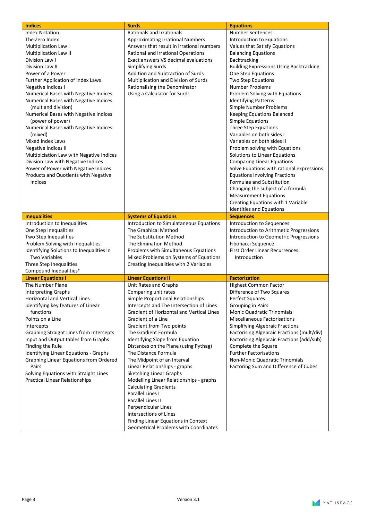| <b>Indices</b>                                                                                                                                                                                                                                                                                                                                                                                                                                                         | <b>Surds</b>                                                                                                                                                                                                                                                                                                                                                                                                                                                                                                                                                                                                                                                                                                            | <b>Equations</b>                                                                                                                                                                                                                                                                                                                                                                                                                                                            |
|------------------------------------------------------------------------------------------------------------------------------------------------------------------------------------------------------------------------------------------------------------------------------------------------------------------------------------------------------------------------------------------------------------------------------------------------------------------------|-------------------------------------------------------------------------------------------------------------------------------------------------------------------------------------------------------------------------------------------------------------------------------------------------------------------------------------------------------------------------------------------------------------------------------------------------------------------------------------------------------------------------------------------------------------------------------------------------------------------------------------------------------------------------------------------------------------------------|-----------------------------------------------------------------------------------------------------------------------------------------------------------------------------------------------------------------------------------------------------------------------------------------------------------------------------------------------------------------------------------------------------------------------------------------------------------------------------|
| <b>Index Notation</b><br>The Zero Index<br>Multiplication Law I<br>Multiplication Law II<br>Division Law I<br>Division Law II<br>Power of a Power<br>Further Application of Index Laws<br>Negative Indices I<br>Numerical Bases with Negative Indices<br>Numerical Bases with Negative Indices<br>(mult and division)<br>Numerical Bases with Negative Indices<br>(power of power)<br>Numerical Bases with Negative Indices<br>(mixed)                                 | Rationals and Irrationals<br><b>Approximating Irrational Numbers</b><br>Answers that result in irrational numbers<br><b>Rational and Irrational Operations</b><br>Exact answers VS decimal evaluations<br>Simplifying Surds<br>Addition and Subtraction of Surds<br>Multiplication and Division of Surds<br>Rationalising the Denominator<br>Using a Calculator for Surds                                                                                                                                                                                                                                                                                                                                               | <b>Number Sentences</b><br>Introduction to Equations<br>Values that Satisfy Equations<br><b>Balancing Equations</b><br><b>Backtracking</b><br><b>Building Expressions Using Backtracking</b><br>One Step Equations<br>Two Step Equations<br><b>Number Problems</b><br>Problem Solving with Equations<br><b>Identifying Patterns</b><br>Simple Number Problems<br>Keeping Equations Balanced<br><b>Simple Equations</b><br>Three Step Equations<br>Variables on both sides I |
| Mixed Index Laws<br><b>Negative Indices II</b><br>Multiplciation Law with Negative Indices<br>Division Law with Negative Indices<br>Power of Power with Negative Indices<br>Products and Quotients with Negative<br>Indices                                                                                                                                                                                                                                            |                                                                                                                                                                                                                                                                                                                                                                                                                                                                                                                                                                                                                                                                                                                         | Variables on both sides II<br>Problem solving with Equations<br>Solutions to Linear Equations<br><b>Comparing Linear Equations</b><br>Solve Equations with rational expressions<br><b>Equations involving Fractions</b><br>Formulae and Substitution<br>Changing the subject of a formula<br><b>Measurement Equations</b><br>Creating Equations with 1 Variable<br>Identities and Equations                                                                                 |
| <b>Inequalities</b>                                                                                                                                                                                                                                                                                                                                                                                                                                                    | <b>Systems of Equations</b>                                                                                                                                                                                                                                                                                                                                                                                                                                                                                                                                                                                                                                                                                             | <b>Sequences</b>                                                                                                                                                                                                                                                                                                                                                                                                                                                            |
| Introduction to Inequalities<br>One Step Inequalities<br>Two Step Inequalities<br>Problem Solving with Inequalities<br>Identifying Solutions to Inequalities in<br><b>Two Variables</b><br>Three Step Inequalities<br>Compound Inequalities#                                                                                                                                                                                                                           | Introduction to Simulataneous Equations<br>The Graphical Method<br>The Substitution Method<br>The Elimination Method<br>Problems with Simultaneous Equations<br>Mixed Problems on Systems of Equations<br>Creating Inequalities with 2 Variables                                                                                                                                                                                                                                                                                                                                                                                                                                                                        | Introduction to Sequences<br>Introduction to Arithmetic Progressions<br>Introduction to Geometric Progressions<br><b>Fibonacci Sequence</b><br><b>First Order Linear Recurrences</b><br>Introduction                                                                                                                                                                                                                                                                        |
| <b>Linear Equations I</b>                                                                                                                                                                                                                                                                                                                                                                                                                                              | <b>Linear Equations II</b>                                                                                                                                                                                                                                                                                                                                                                                                                                                                                                                                                                                                                                                                                              | <b>Factorization</b>                                                                                                                                                                                                                                                                                                                                                                                                                                                        |
| The Number Plane<br><b>Interpreting Graphs</b><br><b>Horizontal and Vertical Lines</b><br>Identifying key features of Linear<br>functions<br>Points on a Line<br>Intercepts<br>Graphing Straight Lines from Intercepts<br>Input and Output tables from Graphs<br>Finding the Rule<br>Identifying Linear Equations - Graphs<br><b>Graphing Linear Equations from Ordered</b><br>Pairs<br>Solving Equations with Straight Lines<br><b>Practical Linear Relationships</b> | Unit Rates and Graphs<br>Comparing unit rates<br>Simple Proportional Relationships<br>Intercepts and The Intersection of Lines<br><b>Gradient of Horizontal and Vertical Lines</b><br>Gradient of a Line<br>Gradient from Two points<br>The Gradient Formula<br>Identifying Slope from Equation<br>Distances on the Plane (using Pythag)<br>The Distance Formula<br>The Midpoint of an Interval<br>Linear Relationships - graphs<br><b>Sketching Linear Graphs</b><br>Modelling Linear Relationships - graphs<br><b>Calculating Gradients</b><br>Parallel Lines I<br>Parallel Lines II<br>Perpendicular Lines<br>Intersections of Lines<br>Finding Linear Equations in Context<br>Geometrical Problems with Coordinates | Highest Common Factor<br>Difference of Two Squares<br>Perfect Squares<br>Grouping in Pairs<br><b>Monic Quadratic Trinomials</b><br><b>Miscellaneous Factorisations</b><br>Simplifying Algebraic Fractions<br>Factorising Algebraic Fractions (mult/div)<br>Factorising Algebraic Fractions (add/sub)<br>Complete the Square<br><b>Further Factorisations</b><br>Non-Monic Quadratic Trinomials<br>Factoring Sum and Difference of Cubes                                     |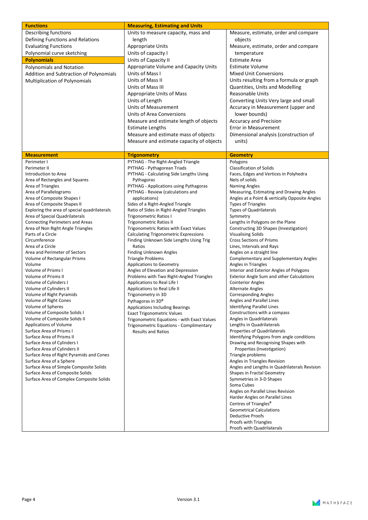| <b>Functions</b>                                             | <b>Measuring, Estimating and Units</b>                                                 |                                                                            |
|--------------------------------------------------------------|----------------------------------------------------------------------------------------|----------------------------------------------------------------------------|
| Describing functions                                         | Units to measure capacity, mass and                                                    | Measure, estimate, order and compare                                       |
| Defining Functions and Relations                             | length                                                                                 | objects                                                                    |
| <b>Evaluating Functions</b>                                  | Appropriate Units                                                                      | Measure, estimate, order and compare                                       |
| Polynomial curve sketching                                   | Units of capacity I                                                                    | temperature                                                                |
| <b>Polynomials</b>                                           | Units of Capacity II                                                                   | <b>Estimate Area</b>                                                       |
| Polynomials and Notation                                     | Appropriate Volume and Capacity Units                                                  | <b>Estimate Volume</b>                                                     |
| Addition and Subtraction of Polynomials                      | Units of Mass I                                                                        | <b>Mixed Unit Conversions</b>                                              |
| Multiplication of Polynomials                                | Units of Mass II                                                                       | Units resulting from a formula or graph                                    |
|                                                              | Units of Mass III                                                                      | Quantities, Units and Modelling                                            |
|                                                              | Appropriate Units of Mass                                                              | <b>Reasonable Units</b>                                                    |
|                                                              | Units of Length                                                                        | Converting Units Very large and small                                      |
|                                                              | Units of Measurement                                                                   | Accuracy in Measurement (upper and                                         |
|                                                              | <b>Units of Area Conversions</b>                                                       | lower bounds)                                                              |
|                                                              | Measure and estimate length of objects                                                 | <b>Accuracy and Precision</b>                                              |
|                                                              | <b>Estimate Lengths</b>                                                                | Error in Measurement                                                       |
|                                                              | Measure and estimate mass of objects                                                   | Dimensional analysis (construction of                                      |
|                                                              | Measure and estimate capacity of objects                                               | units)                                                                     |
|                                                              |                                                                                        |                                                                            |
| <b>Measurement</b>                                           | <b>Trigonometry</b>                                                                    | <b>Geometry</b>                                                            |
| Perimeter I                                                  | PYTHAG - The Right-Angled Triangle                                                     | Polygons                                                                   |
| Perimeter II                                                 | PYTHAG - Pythagorean Triads                                                            | <b>Classification of Solids</b>                                            |
| Introduction to Area<br>Area of Rectangles and Squares       | PYTHAG - Calculating Side Lengths Using<br>Pythagoras                                  | Faces, Edges and Vertices in Polyhedra<br>Nets of solids                   |
| Area of Triangles                                            | PYTHAG - Applications using Pythagoras                                                 | <b>Naming Angles</b>                                                       |
| Area of Parallelograms                                       | PYTHAG - Review (calculations and                                                      | Measuring, Estimating and Drawing Angles                                   |
| Area of Composite Shapes I                                   | applications)                                                                          | Angles at a Point & vertically Opposite Angles                             |
| Area of Composite Shapes II                                  | Sides of a Right-Angled Triangle                                                       | <b>Types of Triangles</b>                                                  |
| Exploring the area of special quadrilaterals                 | Ratio of Sides in Right-Angled Triangles                                               | <b>Types of Quadrilaterals</b>                                             |
| Area of Special Quadrilaterals                               | Trigonometric Ratios I                                                                 | Symmetry                                                                   |
| <b>Connecting Perimeters and Areas</b>                       | <b>Trigonometric Ratios II</b>                                                         | Lengths in Polygons on the Plane                                           |
| Area of Non Right Angle Triangles<br>Parts of a Circle       | Trigonometric Ratios with Exact Values<br><b>Calculating Trigonometric Expressions</b> | Constructing 3D Shapes (Investigation)<br><b>Visualising Solids</b>        |
| Circumference                                                | Finding Unknown Side Lengths Using Trig                                                | <b>Cross Sections of Prisms</b>                                            |
| Area of a Circle                                             | Ratios                                                                                 | Lines, Intervals and Rays                                                  |
| Area and Perimeter of Sectors                                | Finding Unknown Angles                                                                 | Angles on a straight line                                                  |
| Volume of Rectangular Prisms                                 | <b>Triangle Problems</b>                                                               | <b>Complementary and Supplementary Angles</b>                              |
| Volume                                                       | <b>Applications to Geometry</b>                                                        | Angles in Triangles                                                        |
| Volume of Prisms I                                           | Angles of Elevation and Depression                                                     | Interior and Exterior Angles of Polygons                                   |
| <b>Volume of Prisms II</b><br>Volume of Cylinders I          | Problems with Two Right-Angled Triangles<br>Applications to Real Life I                | Exterior Angle Sum and other Calculations<br><b>Cointerior Angles</b>      |
| Volume of Cylinders II                                       | Applications to Real Life II                                                           | <b>Alternate Angles</b>                                                    |
| Volume of Right Pyramids                                     | Trigonometry in 3D                                                                     | <b>Corresponding Angles</b>                                                |
| Volume of Right Cones                                        | Pythagoras in 3D <sup>#</sup>                                                          | Angles and Parallel Lines                                                  |
| Volume of Spheres                                            | <b>Applications Including Bearings</b>                                                 | Identifying Parallel Lines                                                 |
| Volume of Composite Solids I                                 | <b>Exact Trigonometric Values</b>                                                      | Constructions with a compass                                               |
| Volume of Composite Solids II                                | Trigonometric Equations - with Exact Values                                            | Angles in Quadrilaterals                                                   |
| Applications of Volume                                       | Trigonometric Equations - Complimentary                                                | Lengths in Quadrilaterals                                                  |
| Surface Area of Prisms I<br><b>Surface Area of Prisms II</b> | <b>Results and Ratios</b>                                                              | Properties of Quadrilaterals<br>Identifying Polygons from angle conditions |
| Surface Area of Cylinders I                                  |                                                                                        | Drawing and Recognising Shapes with                                        |
| Surface Area of Cylinders II                                 |                                                                                        | Properties (Investigation)                                                 |
| Surface Area of Right Pyramids and Cones                     |                                                                                        | Triangle problems                                                          |
| Surface Area of a Sphere                                     |                                                                                        | Angles in Triangles Revision                                               |
| Surface Area of Simple Composite Solids                      |                                                                                        | Angles and Lengths in Quadrilaterals Revision                              |
| Surface Area of Composite Solids                             |                                                                                        | Shapes in Fractal Geometry                                                 |
| Surface Area of Complex Composite Solids                     |                                                                                        | Symmetries in 3-D Shapes                                                   |
|                                                              |                                                                                        | Soma Cubes                                                                 |
|                                                              |                                                                                        | Angles on Parallel Lines Revision<br>Harder Angles on Parallel Lines       |
|                                                              |                                                                                        | Centres of Triangles <sup>#</sup>                                          |
|                                                              |                                                                                        | <b>Geometrical Calculations</b>                                            |
|                                                              |                                                                                        | <b>Deductive Proofs</b>                                                    |
|                                                              |                                                                                        | Proofs with Triangles                                                      |
|                                                              |                                                                                        | Proofs with Quadrilaterals                                                 |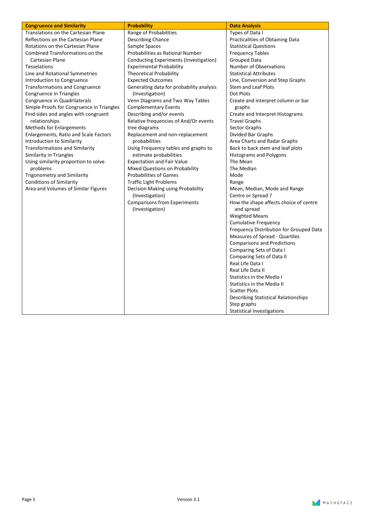| <b>Congruence and Similarity</b>          | <b>Probability</b>                                     | <b>Data Analysis</b>                                 |
|-------------------------------------------|--------------------------------------------------------|------------------------------------------------------|
| Translations on the Cartesian Plane       | Range of Probabilities                                 | Types of Data I                                      |
| Reflections on the Cartesian Plane        | <b>Describing Chance</b>                               | Practicalities of Obtaining Data                     |
| Rotations on the Cartesian Plane          | Sample Spaces                                          | <b>Statistical Questions</b>                         |
| <b>Combined Transformations on the</b>    | Probabilities as Rational Number                       | <b>Frequency Tables</b>                              |
| Cartesian Plane                           | Conducting Experiments (Investigation)                 | Grouped Data                                         |
| <b>Tesselations</b>                       | <b>Experimental Probability</b>                        | <b>Number of Observations</b>                        |
| Line and Rotational Symmetries            | <b>Theoretical Probability</b>                         | <b>Statistical Attributes</b>                        |
| Introduction to Congruence                | <b>Expected Outcomes</b>                               | Line, Conversion and Step Graphs                     |
| <b>Transformations and Congruence</b>     | Generating data for probability analysis               | <b>Stem and Leaf Plots</b>                           |
| Congruence in Triangles                   | (Investigation)                                        | Dot Plots                                            |
| Congruence in Quadrilaterals              | Venn Diagrams and Two Way Tables                       | Create and interpret column or bar                   |
| Simple Proofs for Congruence in Triangles | <b>Complementary Events</b>                            | graphs                                               |
| Find sides and angles with congruent      | Describing and/or events                               | Create and Interpret Histograms                      |
| relationships                             | Relative frequencies of And/Or events                  | <b>Travel Graphs</b>                                 |
| <b>Methods for Enlargements</b>           | tree diagrams                                          | Sector Graphs                                        |
| Enlargements, Ratio and Scale Factors     | Replacement and non-replacement                        | Divided Bar Graphs                                   |
| Introduction to Similarity                | probabilities                                          | Area Charts and Radar Graphs                         |
| <b>Transformations and Similarity</b>     | Using Frequency tables and graphs to                   | Back to back stem and leaf plots                     |
| Similarity in Triangles                   | estimate probabilities                                 | Histograms and Polygons                              |
| Using similarity proportion to solve      | <b>Expectation and Fair Value</b>                      | The Mean                                             |
| problems                                  | Mixed Questions on Probability                         | The Median                                           |
| Trigonometry and Similarity               | <b>Probabilities of Games</b>                          | Mode                                                 |
| <b>Conditions of Similarity</b>           | <b>Traffic Light Problems</b>                          | Range                                                |
| Area and Volumes of Similar Figures       | Decision Making using Probability                      | Mean, Median, Mode and Range                         |
|                                           | (Investigation)                                        | Centre or Spread?                                    |
|                                           | <b>Comparisons from Experiments</b><br>(Investigation) | How the shape affects choice of centre<br>and spread |
|                                           |                                                        | <b>Weighted Means</b>                                |
|                                           |                                                        | <b>Cumulative Frequency</b>                          |
|                                           |                                                        | Frequency Distribution for Grouped Data              |
|                                           |                                                        | Measures of Spread - Quartiles                       |
|                                           |                                                        | <b>Comparisons and Predictions</b>                   |
|                                           |                                                        | Comparing Sets of Data I                             |
|                                           |                                                        | Comparing Sets of Data II                            |
|                                           |                                                        | Real Life Data I                                     |
|                                           |                                                        | Real Life Data II                                    |
|                                           |                                                        | Statistics in the Media I                            |
|                                           |                                                        | Statistics in the Media II                           |
|                                           |                                                        | <b>Scatter Plots</b>                                 |
|                                           |                                                        | <b>Describing Statistical Relationships</b>          |
|                                           |                                                        | Step graphs                                          |
|                                           |                                                        | <b>Statistical Investigations</b>                    |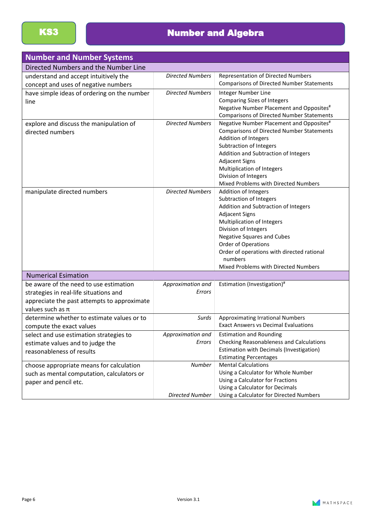| <b>Number and Number Systems</b>            |                         |                                                                            |
|---------------------------------------------|-------------------------|----------------------------------------------------------------------------|
| Directed Numbers and the Number Line        |                         |                                                                            |
| understand and accept intuitively the       | <b>Directed Numbers</b> | <b>Representation of Directed Numbers</b>                                  |
| concept and uses of negative numbers        |                         | <b>Comparisons of Directed Number Statements</b>                           |
| have simple ideas of ordering on the number | <b>Directed Numbers</b> | Integer Number Line                                                        |
| line                                        |                         | <b>Comparing Sizes of Integers</b>                                         |
|                                             |                         | Negative Number Placement and Opposites#                                   |
|                                             |                         | <b>Comparisons of Directed Number Statements</b>                           |
| explore and discuss the manipulation of     | <b>Directed Numbers</b> | Negative Number Placement and Opposites#                                   |
| directed numbers                            |                         | <b>Comparisons of Directed Number Statements</b>                           |
|                                             |                         | Addition of Integers                                                       |
|                                             |                         | Subtraction of Integers                                                    |
|                                             |                         | Addition and Subtraction of Integers                                       |
|                                             |                         | <b>Adjacent Signs</b>                                                      |
|                                             |                         | Multiplication of Integers<br>Division of Integers                         |
|                                             |                         | Mixed Problems with Directed Numbers                                       |
| manipulate directed numbers                 | <b>Directed Numbers</b> | Addition of Integers                                                       |
|                                             |                         | Subtraction of Integers                                                    |
|                                             |                         | Addition and Subtraction of Integers                                       |
|                                             |                         | <b>Adjacent Signs</b>                                                      |
|                                             |                         | Multiplication of Integers                                                 |
|                                             |                         | Division of Integers                                                       |
|                                             |                         | <b>Negative Squares and Cubes</b>                                          |
|                                             |                         | Order of Operations                                                        |
|                                             |                         | Order of operations with directed rational                                 |
|                                             |                         | numbers                                                                    |
|                                             |                         | Mixed Problems with Directed Numbers                                       |
| <b>Numerical Esimation</b>                  |                         |                                                                            |
| be aware of the need to use estimation      | Approximation and       | Estimation (Investigation)#                                                |
| strategies in real-life situations and      | Errors                  |                                                                            |
| appreciate the past attempts to approximate |                         |                                                                            |
| values such as $\pi$                        |                         |                                                                            |
| determine whether to estimate values or to  | Surds                   | <b>Approximating Irrational Numbers</b>                                    |
| compute the exact values                    |                         | <b>Exact Answers vs Decimal Evaluations</b>                                |
| select and use estimation strategies to     | Approximation and       | <b>Estimation and Rounding</b>                                             |
| estimate values and to judge the            | Errors                  | Checking Reasonableness and Calculations                                   |
| reasonableness of results                   |                         | <b>Estimation with Decimals (Investigation)</b>                            |
|                                             |                         | <b>Estimating Percentages</b>                                              |
| choose appropriate means for calculation    | Number                  | <b>Mental Calculations</b>                                                 |
| such as mental computation, calculators or  |                         | Using a Calculator for Whole Number                                        |
| paper and pencil etc.                       |                         | Using a Calculator for Fractions                                           |
|                                             | <b>Directed Number</b>  | Using a Calculator for Decimals<br>Using a Calculator for Directed Numbers |
|                                             |                         |                                                                            |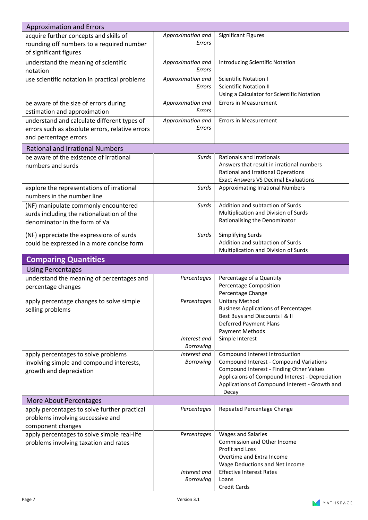| <b>Approximation and Errors</b>                                                     |                             |                                                                               |
|-------------------------------------------------------------------------------------|-----------------------------|-------------------------------------------------------------------------------|
| acquire further concepts and skills of<br>rounding off numbers to a required number | Approximation and<br>Errors | <b>Significant Figures</b>                                                    |
| of significant figures                                                              |                             |                                                                               |
| understand the meaning of scientific<br>notation                                    | Approximation and<br>Errors | Introducing Scientific Notation                                               |
| use scientific notation in practical problems                                       | Approximation and           | <b>Scientific Notation I</b>                                                  |
|                                                                                     | Errors                      | <b>Scientific Notation II</b>                                                 |
|                                                                                     |                             | Using a Calculator for Scientific Notation                                    |
| be aware of the size of errors during<br>estimation and approximation               | Approximation and<br>Errors | <b>Errors in Measurement</b>                                                  |
| understand and calculate different types of                                         | Approximation and           | <b>Errors in Measurement</b>                                                  |
| errors such as absolute errors, relative errors                                     | Errors                      |                                                                               |
| and percentage errors                                                               |                             |                                                                               |
| <b>Rational and Irrational Numbers</b>                                              |                             |                                                                               |
|                                                                                     |                             |                                                                               |
| be aware of the existence of irrational                                             | Surds                       | Rationals and Irrationals<br>Answers that result in irrational numbers        |
| numbers and surds                                                                   |                             | Rational and Irrational Operations                                            |
|                                                                                     |                             | <b>Exact Answers VS Decimal Evaluations</b>                                   |
| explore the representations of irrational                                           | Surds                       | <b>Approximating Irrational Numbers</b>                                       |
| numbers in the number line                                                          |                             |                                                                               |
| (NF) manipulate commonly encountered                                                | Surds                       | Addition and subtaction of Surds                                              |
| surds including the rationalization of the                                          |                             | Multiplication and Division of Surds                                          |
| denominator in the form of Va                                                       |                             | Rationalising the Denominator                                                 |
| (NF) appreciate the expressions of surds                                            | Surds                       | Simplifying Surds                                                             |
| could be expressed in a more concise form                                           |                             | Addition and subtaction of Surds                                              |
|                                                                                     |                             | Multiplication and Division of Surds                                          |
|                                                                                     |                             |                                                                               |
|                                                                                     |                             |                                                                               |
| <b>Comparing Quantities</b>                                                         |                             |                                                                               |
| <b>Using Percentages</b>                                                            |                             |                                                                               |
| understand the meaning of percentages and                                           | Percentages                 | Percentage of a Quantity                                                      |
| percentage changes                                                                  |                             | Percentage Composition                                                        |
|                                                                                     |                             | Percentage Change                                                             |
| apply percentage changes to solve simple                                            | Percentages                 | Unitary Method                                                                |
| selling problems                                                                    |                             | <b>Business Applications of Percentages</b><br>Best Buys and Discounts I & II |
|                                                                                     |                             | Deferred Payment Plans                                                        |
|                                                                                     |                             | <b>Payment Methods</b>                                                        |
|                                                                                     | Interest and                | Simple Interest                                                               |
|                                                                                     | Borrowing                   |                                                                               |
| apply percentages to solve problems                                                 | Interest and                | Compound Interest Introduction                                                |
| involving simple and compound interests,                                            | Borrowing                   | Compound Interest - Compound Variations                                       |
| growth and depreciation                                                             |                             | Compound Interest - Finding Other Values                                      |
|                                                                                     |                             | Applicaions of Compound Interest - Depreciation                               |
|                                                                                     |                             | Applications of Compound Interest - Growth and                                |
|                                                                                     |                             | Decay                                                                         |
| More About Percentages                                                              |                             |                                                                               |
| apply percentages to solve further practical                                        | Percentages                 | Repeated Percentage Change                                                    |
| problems involving successive and                                                   |                             |                                                                               |
| component changes                                                                   |                             |                                                                               |
| apply percentages to solve simple real-life                                         | Percentages                 | <b>Wages and Salaries</b>                                                     |
| problems involving taxation and rates                                               |                             | Commission and Other Income                                                   |
|                                                                                     |                             | Profit and Loss                                                               |
|                                                                                     |                             | Overtime and Extra Income                                                     |
|                                                                                     |                             | Wage Deductions and Net Income                                                |
|                                                                                     | Interest and                | <b>Effective Interest Rates</b>                                               |
|                                                                                     | <b>Borrowing</b>            | Loans<br>Credit Cards                                                         |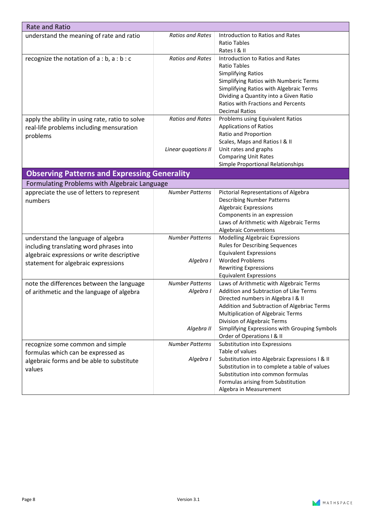| <b>Rate and Ratio</b>                               |                         |                                                |
|-----------------------------------------------------|-------------------------|------------------------------------------------|
| understand the meaning of rate and ratio            | <b>Ratios and Rates</b> | Introduction to Ratios and Rates               |
|                                                     |                         | <b>Ratio Tables</b>                            |
|                                                     |                         | Rates I & II                                   |
| recognize the notation of a : b, a : b : c          | <b>Ratios and Rates</b> | Introduction to Ratios and Rates               |
|                                                     |                         | <b>Ratio Tables</b>                            |
|                                                     |                         | <b>Simplifying Ratios</b>                      |
|                                                     |                         | Simplifying Ratios with Numberic Terms         |
|                                                     |                         | Simplifying Ratios with Algebraic Terms        |
|                                                     |                         | Dividing a Quantity into a Given Ratio         |
|                                                     |                         | <b>Ratios with Fractions and Percents</b>      |
|                                                     |                         | <b>Decimal Ratios</b>                          |
| apply the ability in using rate, ratio to solve     | <b>Ratios and Rates</b> | Problems using Equivalent Ratios               |
| real-life problems including mensuration            |                         | <b>Applications of Ratios</b>                  |
| problems                                            |                         | Ratio and Proportion                           |
|                                                     |                         | Scales, Maps and Ratios I & II                 |
|                                                     | Linear quaations II     | Unit rates and graphs                          |
|                                                     |                         | <b>Comparing Unit Rates</b>                    |
|                                                     |                         | Simple Proportional Relationships              |
| <b>Observing Patterns and Expressing Generality</b> |                         |                                                |
| Formulating Problems with Algebraic Language        |                         |                                                |
| appreciate the use of letters to represent          | <b>Number Patterns</b>  | Pictorial Representations of Algebra           |
| numbers                                             |                         | <b>Describing Number Patterns</b>              |
|                                                     |                         | <b>Algebraic Expressions</b>                   |
|                                                     |                         | Components in an expression                    |
|                                                     |                         | Laws of Arithmetic with Algebraic Terms        |
|                                                     |                         | <b>Algebraic Conventions</b>                   |
| understand the language of algebra                  | <b>Number Patterns</b>  | Modelling Algebraic Expressions                |
| including translating word phrases into             |                         | <b>Rules for Describing Sequences</b>          |
| algebraic expressions or write descriptive          |                         | <b>Equivalent Expressions</b>                  |
| statement for algebraic expressions                 | Algebra I               | <b>Worded Problems</b>                         |
|                                                     |                         | <b>Rewriting Expressions</b>                   |
|                                                     |                         | <b>Equivalent Expressions</b>                  |
| note the differences between the language           | <b>Number Patterns</b>  | Laws of Arithmetic with Algebraic Terms        |
| of arithmetic and the language of algebra           | Algebra I               | Addition and Subtraction of Like Terms         |
|                                                     |                         | Directed numbers in Algebra I & II             |
|                                                     |                         | Addition and Subtraction of Algebriac Terms    |
|                                                     |                         | Multiplication of Algebraic Terms              |
|                                                     |                         | Division of Algebraic Terms                    |
|                                                     | Algebra II              | Simplifying Expressions with Grouping Symbols  |
|                                                     |                         | Order of Operations I & II                     |
| recognize some common and simple                    | <b>Number Patterns</b>  | Substitution into Expressions                  |
| formulas which can be expressed as                  |                         | Table of values                                |
| algebraic forms and be able to substitute           | Algebra I               | Substitution into Algebraic Expressions I & II |
| values                                              |                         | Substitution in to complete a table of values  |
|                                                     |                         | Substitution into common formulas              |
|                                                     |                         | Formulas arising from Substitution             |
|                                                     |                         | Algebra in Measurement                         |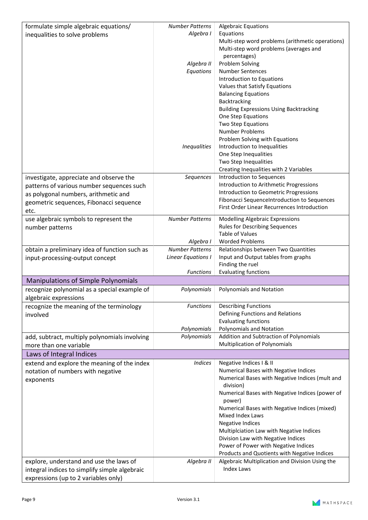| formulate simple algebraic equations/         | <b>Number Patterns</b> | <b>Algebraic Equations</b>                                       |
|-----------------------------------------------|------------------------|------------------------------------------------------------------|
| inequalities to solve problems                | Algebra I              | Equations                                                        |
|                                               |                        | Multi-step word problems (arithmetic operations)                 |
|                                               |                        | Multi-step word problems (averages and                           |
|                                               |                        | percentages)                                                     |
|                                               | Algebra II             | Problem Solving                                                  |
|                                               | Equations              | <b>Number Sentences</b>                                          |
|                                               |                        | Introduction to Equations                                        |
|                                               |                        | Values that Satisfy Equations                                    |
|                                               |                        | <b>Balancing Equations</b>                                       |
|                                               |                        | Backtracking                                                     |
|                                               |                        | <b>Building Expressions Using Backtracking</b>                   |
|                                               |                        | One Step Equations                                               |
|                                               |                        | Two Step Equations                                               |
|                                               |                        | Number Problems                                                  |
|                                               |                        | Problem Solving with Equations                                   |
|                                               | <b>Inequalities</b>    | Introduction to Inequalities                                     |
|                                               |                        | One Step Inequalities                                            |
|                                               |                        | Two Step Inequalities                                            |
|                                               |                        | Creating Inequalities with 2 Variables                           |
| investigate, appreciate and observe the       | Sequences              | Introduction to Sequences                                        |
| patterns of various number sequences such     |                        | Introduction to Arithmetic Progressions                          |
| as polygonal numbers, arithmetic and          |                        | Introduction to Geometric Progressions                           |
| geometric sequences, Fibonacci sequence       |                        | Fibonacci SequenceIntroduction to Sequences                      |
| etc.                                          |                        | First Order Linear Recurrences Introduction                      |
| use algebraic symbols to represent the        | <b>Number Patterns</b> | Modelling Algebraic Expressions                                  |
| number patterns                               |                        | <b>Rules for Describing Sequences</b>                            |
|                                               |                        | <b>Table of Values</b>                                           |
|                                               | Algebra I              | <b>Worded Problems</b>                                           |
| obtain a preliminary idea of function such as | <b>Number Patterns</b> | Relationships between Two Quantities                             |
| input-processing-output concept               | Linear Equations I     | Input and Output tables from graphs                              |
|                                               |                        | Finding the ruel                                                 |
|                                               | <b>Functions</b>       | <b>Evaluating functions</b>                                      |
| <b>Manipulations of Simple Polynomials</b>    |                        |                                                                  |
| recognize polynomial as a special example of  | Polynomials            | <b>Polynomials and Notation</b>                                  |
| algebraic expressions                         |                        |                                                                  |
| recognize the meaning of the terminology      | <b>Functions</b>       | <b>Describing Functions</b>                                      |
| involved                                      |                        | Defining Functions and Relations                                 |
|                                               |                        | <b>Evaluating functions</b>                                      |
|                                               | Polynomials            | <b>Polynomials and Notation</b>                                  |
| add, subtract, multiply polynomials involving | Polynomials            | Addition and Subtraction of Polynomials                          |
| more than one variable                        |                        | Multiplication of Polynomials                                    |
| Laws of Integral Indices                      |                        |                                                                  |
|                                               | <b>Indices</b>         |                                                                  |
| extend and explore the meaning of the index   |                        | Negative Indices I & II<br>Numerical Bases with Negative Indices |
| notation of numbers with negative             |                        | Numerical Bases with Negative Indices (mult and                  |
| exponents                                     |                        | division)                                                        |
|                                               |                        | Numerical Bases with Negative Indices (power of                  |
|                                               |                        | power)                                                           |
|                                               |                        | Numerical Bases with Negative Indices (mixed)                    |
|                                               |                        | Mixed Index Laws                                                 |
|                                               |                        | <b>Negative Indices</b>                                          |
|                                               |                        | Multiplciation Law with Negative Indices                         |
|                                               |                        | Division Law with Negative Indices                               |
|                                               |                        | Power of Power with Negative Indices                             |
|                                               |                        | Products and Quotients with Negative Indices                     |
| explore, understand and use the laws of       | Algebra II             | Algebraic Multiplication and Division Using the                  |
| integral indices to simplify simple algebraic |                        | <b>Index Laws</b>                                                |
| expressions (up to 2 variables only)          |                        |                                                                  |
|                                               |                        |                                                                  |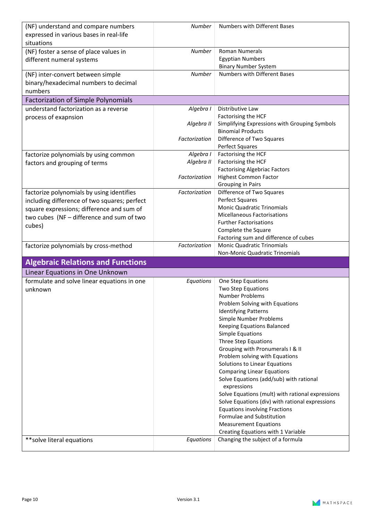| (NF) understand and compare numbers          | Number        | <b>Numbers with Different Bases</b>                                     |
|----------------------------------------------|---------------|-------------------------------------------------------------------------|
| expressed in various bases in real-life      |               |                                                                         |
| situations                                   |               |                                                                         |
| (NF) foster a sense of place values in       | <b>Number</b> | <b>Roman Numerals</b>                                                   |
| different numeral systems                    |               | <b>Egyptian Numbers</b>                                                 |
|                                              |               | <b>Binary Number System</b>                                             |
| (NF) inter-convert between simple            | <b>Number</b> | Numbers with Different Bases                                            |
|                                              |               |                                                                         |
| binary/hexadecimal numbers to decimal        |               |                                                                         |
| numbers                                      |               |                                                                         |
| <b>Factorization of Simple Polynomials</b>   |               |                                                                         |
| understand factorization as a reverse        | Algebra I     | Distributive Law                                                        |
| process of exapnsion                         |               | Factorising the HCF                                                     |
|                                              | Algebra II    | Simplifying Expressions with Grouping Symbols                           |
|                                              |               | <b>Binomial Products</b>                                                |
|                                              | Factorization | Difference of Two Squares                                               |
|                                              |               | Perfect Squares                                                         |
| factorize polynomials by using common        | Algebra I     | Factorising the HCF                                                     |
| factors and grouping of terms                | Algebra II    | Factorising the HCF                                                     |
|                                              |               | <b>Factorising Algebriac Factors</b>                                    |
|                                              | Factorization | <b>Highest Common Factor</b>                                            |
|                                              |               | Grouping in Pairs                                                       |
| factorize polynomials by using identifies    | Factorization | Difference of Two Squares                                               |
| including difference of two squares; perfect |               | Perfect Squares                                                         |
| square expressions; difference and sum of    |               | <b>Monic Quadratic Trinomials</b>                                       |
|                                              |               | <b>Micellaneous Factorisations</b>                                      |
| two cubes (NF - difference and sum of two    |               | <b>Further Factorisations</b>                                           |
| cubes)                                       |               | Complete the Square                                                     |
|                                              |               |                                                                         |
|                                              |               |                                                                         |
|                                              |               | Factoring sum and difference of cubes                                   |
| factorize polynomials by cross-method        | Factorization | <b>Monic Quadratic Trinomials</b>                                       |
|                                              |               | Non-Monic Quadratic Trinomials                                          |
| <b>Algebraic Relations and Functions</b>     |               |                                                                         |
| Linear Equations in One Unknown              |               |                                                                         |
| formulate and solve linear equations in one  | Equations     | One Step Equations                                                      |
| unknown                                      |               | Two Step Equations                                                      |
|                                              |               | <b>Number Problems</b>                                                  |
|                                              |               | Problem Solving with Equations                                          |
|                                              |               | <b>Identifying Patterns</b>                                             |
|                                              |               | Simple Number Problems                                                  |
|                                              |               | Keeping Equations Balanced                                              |
|                                              |               | <b>Simple Equations</b>                                                 |
|                                              |               | <b>Three Step Equations</b>                                             |
|                                              |               |                                                                         |
|                                              |               | Grouping with Pronumerals I & II<br>Problem solving with Equations      |
|                                              |               |                                                                         |
|                                              |               | Solutions to Linear Equations                                           |
|                                              |               | <b>Comparing Linear Equations</b>                                       |
|                                              |               | Solve Equations (add/sub) with rational                                 |
|                                              |               | expressions                                                             |
|                                              |               | Solve Equations (mult) with rational expressions                        |
|                                              |               | Solve Equations (div) with rational expressions                         |
|                                              |               | <b>Equations involving Fractions</b>                                    |
|                                              |               | Formulae and Substitution                                               |
|                                              |               | <b>Measurement Equations</b>                                            |
| ** solve literal equations                   | Equations     | Creating Equations with 1 Variable<br>Changing the subject of a formula |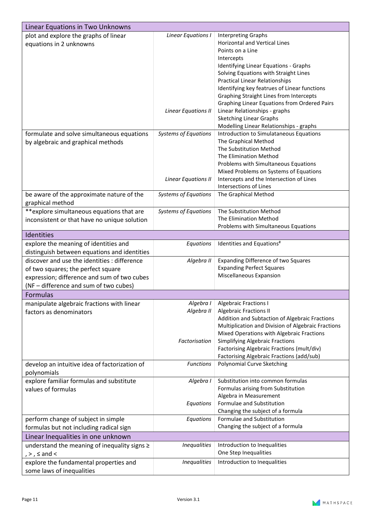| Linear Equations in Two Unknowns              |                             |                                                    |
|-----------------------------------------------|-----------------------------|----------------------------------------------------|
| plot and explore the graphs of linear         | Linear Equations I          | <b>Interpreting Graphs</b>                         |
| equations in 2 unknowns                       |                             | <b>Horizontal and Vertical Lines</b>               |
|                                               |                             | Points on a Line                                   |
|                                               |                             | Intercepts                                         |
|                                               |                             | Identifying Linear Equations - Graphs              |
|                                               |                             | Solving Equations with Straight Lines              |
|                                               |                             | <b>Practical Linear Relationships</b>              |
|                                               |                             | Identifying key featrues of Linear functions       |
|                                               |                             | <b>Graphing Straight Lines from Intercepts</b>     |
|                                               |                             | Graphing Linear Equations from Ordered Pairs       |
|                                               | Linear Equations II         | Linear Relationships - graphs                      |
|                                               |                             | <b>Sketching Linear Graphs</b>                     |
|                                               |                             | Modelling Linear Relationships - graphs            |
| formulate and solve simultaneous equations    | <b>Systems of Equations</b> | Introduction to Simulataneous Equations            |
| by algebraic and graphical methods            |                             | The Graphical Method                               |
|                                               |                             | The Substitution Method                            |
|                                               |                             | The Elimination Method                             |
|                                               |                             | Problems with Simultaneous Equations               |
|                                               |                             | Mixed Problems on Systems of Equations             |
|                                               | <b>Linear Equations II</b>  | Intercepts and the Intersection of Lines           |
|                                               |                             | <b>Intersections of Lines</b>                      |
|                                               |                             |                                                    |
| be aware of the approximate nature of the     | <b>Systems of Equations</b> | The Graphical Method                               |
| graphical method                              |                             |                                                    |
| **explore simultaneous equations that are     | <b>Systems of Equations</b> | The Substitution Method                            |
| inconsistent or that have no unique solution  |                             | The Elimination Method                             |
|                                               |                             | Problems with Simultaneous Equations               |
| Identities                                    |                             |                                                    |
| explore the meaning of identities and         | Equations                   | Identities and Equations <sup>#</sup>              |
| distinguish between equations and identities  |                             |                                                    |
| discover and use the identities : difference  | Algebra II                  | <b>Expanding Difference of two Squares</b>         |
| of two squares; the perfect square            |                             | <b>Expanding Perfect Squares</b>                   |
| expression; difference and sum of two cubes   |                             | Miscellaneous Expansion                            |
|                                               |                             |                                                    |
| (NF - difference and sum of two cubes)        |                             |                                                    |
| Formulas                                      |                             |                                                    |
| manipulate algebraic fractions with linear    | Algebra I                   | <b>Algebraic Fractions I</b>                       |
| factors as denominators                       | Algebra II                  | <b>Algebraic Fractions II</b>                      |
|                                               |                             | Addition and Subtaction of Algebraic Fractions     |
|                                               |                             | Multiplication and Division of Algebraic Fractions |
|                                               |                             | Mixed Operations with Algebraic Fractions          |
|                                               | Factorisation               | <b>Simplifying Algebraic Fractions</b>             |
|                                               |                             | Factorising Algebraic Fractions (mult/div)         |
|                                               |                             | Factorising Algebraic Fractions (add/sub)          |
| develop an intuitive idea of factorization of | <b>Functions</b>            | Polynomial Curve Sketching                         |
| polynomials                                   |                             |                                                    |
| explore familiar formulas and substitute      | Algebra I                   | Substitution into common formulas                  |
| values of formulas                            |                             | Formulas arising from Substitution                 |
|                                               |                             | Algebra in Measurement                             |
|                                               | Equations                   | Formulae and Substitution                          |
|                                               |                             | Changing the subject of a formula                  |
| perform change of subject in simple           | Equations                   | Formulae and Substitution                          |
| formulas but not including radical sign       |                             | Changing the subject of a formula                  |
| Linear Inequalities in one unknown            |                             |                                                    |
| understand the meaning of inequality signs ≥  | <b>Inequalities</b>         | Introduction to Inequalities                       |
| $, >, \leq$ and $<$                           |                             | One Step Inequalities                              |
| explore the fundamental properties and        | <b>Inequalities</b>         | Introduction to Inequalities                       |
|                                               |                             |                                                    |
| some laws of inequalities                     |                             |                                                    |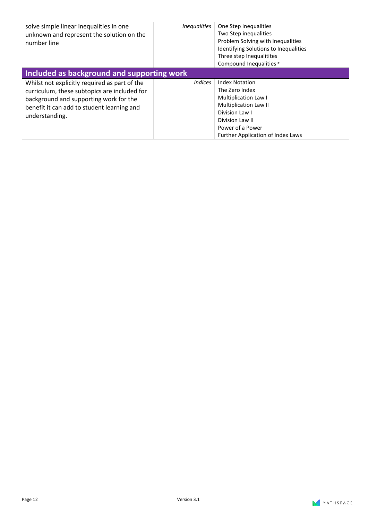| solve simple linear inequalities in one<br>unknown and represent the solution on the<br>number line                                                                                                     | <i>Inequalities</i> | One Step Inequalities<br>Two Step inequalities<br>Problem Solving with Inequalities<br><b>Identifying Solutions to Inequalities</b><br>Three step Inequalitites<br>Compound Inequalities #    |  |  |
|---------------------------------------------------------------------------------------------------------------------------------------------------------------------------------------------------------|---------------------|-----------------------------------------------------------------------------------------------------------------------------------------------------------------------------------------------|--|--|
| Included as background and supporting work                                                                                                                                                              |                     |                                                                                                                                                                                               |  |  |
| Whilst not explicitly required as part of the<br>curriculum, these subtopics are included for<br>background and supporting work for the<br>benefit it can add to student learning and<br>understanding. | <i>Indices</i>      | <b>Index Notation</b><br>The Zero Index<br>Multiplication Law I<br><b>Multiplication Law II</b><br>Division Law I<br>Division Law II<br>Power of a Power<br>Further Application of Index Laws |  |  |

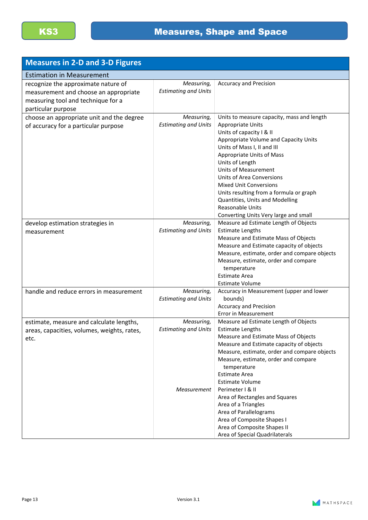| <b>Measures in 2-D and 3-D Figures</b>                                                                                                   |                                                          |                                                                                                                                                                                                                                                                                                                                                                                                                                                                    |
|------------------------------------------------------------------------------------------------------------------------------------------|----------------------------------------------------------|--------------------------------------------------------------------------------------------------------------------------------------------------------------------------------------------------------------------------------------------------------------------------------------------------------------------------------------------------------------------------------------------------------------------------------------------------------------------|
| <b>Estimation in Measurement</b>                                                                                                         |                                                          |                                                                                                                                                                                                                                                                                                                                                                                                                                                                    |
| recognize the approximate nature of<br>measurement and choose an appropriate<br>measuring tool and technique for a<br>particular purpose | Measuring,<br><b>Estimating and Units</b>                | <b>Accuracy and Precision</b>                                                                                                                                                                                                                                                                                                                                                                                                                                      |
| choose an appropriate unit and the degree<br>of accuracy for a particular purpose                                                        | Measuring,<br><b>Estimating and Units</b>                | Units to measure capacity, mass and length<br>Appropriate Units<br>Units of capacity I & II<br>Appropriate Volume and Capacity Units<br>Units of Mass I, II and III<br>Appropriate Units of Mass<br>Units of Length<br><b>Units of Measurement</b><br>Units of Area Conversions<br><b>Mixed Unit Conversions</b><br>Units resulting from a formula or graph<br>Quantities, Units and Modelling<br><b>Reasonable Units</b><br>Converting Units Very large and small |
| develop estimation strategies in<br>measurement                                                                                          | Measuring,<br><b>Estimating and Units</b>                | Measure ad Estimate Length of Objects<br><b>Estimate Lengths</b><br>Measure and Estimate Mass of Objects<br>Measure and Estimate capacity of objects<br>Measure, estimate, order and compare objects<br>Measure, estimate, order and compare<br>temperature<br><b>Estimate Area</b><br><b>Estimate Volume</b>                                                                                                                                                      |
| handle and reduce errors in measurement                                                                                                  | Measuring,<br><b>Estimating and Units</b>                | Accuracy in Measurement (upper and lower<br>bounds)<br><b>Accuracy and Precision</b><br>Error in Measurement                                                                                                                                                                                                                                                                                                                                                       |
| estimate, measure and calculate lengths,<br>areas, capacities, volumes, weights, rates,<br>etc.                                          | Measuring,<br><b>Estimating and Units</b><br>Measurement | Measure ad Estimate Length of Objects<br><b>Estimate Lengths</b><br>Measure and Estimate Mass of Objects<br>Measure and Estimate capacity of objects<br>Measure, estimate, order and compare objects<br>Measure, estimate, order and compare<br>temperature<br><b>Estimate Area</b><br><b>Estimate Volume</b><br>Perimeter   & II<br>Area of Rectangles and Squares<br>Area of a Triangles<br>Area of Parallelograms<br>Area of Composite Shapes I                 |
|                                                                                                                                          |                                                          | Area of Composite Shapes II<br>Area of Special Quadrilaterals                                                                                                                                                                                                                                                                                                                                                                                                      |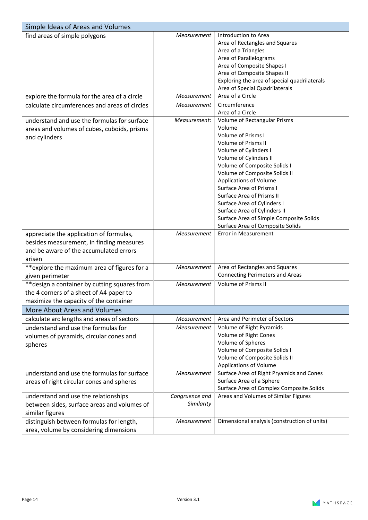| Simple Ideas of Areas and Volumes             |                |                                              |
|-----------------------------------------------|----------------|----------------------------------------------|
| find areas of simple polygons                 | Measurement    | Introduction to Area                         |
|                                               |                | Area of Rectangles and Squares               |
|                                               |                | Area of a Triangles                          |
|                                               |                | Area of Parallelograms                       |
|                                               |                | Area of Composite Shapes I                   |
|                                               |                | Area of Composite Shapes II                  |
|                                               |                | Exploring the area of special quadrilaterals |
|                                               |                | Area of Special Quadrilaterals               |
| explore the formula for the area of a circle  | Measurement    | Area of a Circle                             |
| calculate circumferences and areas of circles | Measurement    | Circumference                                |
|                                               |                | Area of a Circle                             |
| understand and use the formulas for surface   | Measurement:   | Volume of Rectangular Prisms                 |
| areas and volumes of cubes, cuboids, prisms   |                | Volume                                       |
| and cylinders                                 |                | <b>Volume of Prisms I</b>                    |
|                                               |                | <b>Volume of Prisms II</b>                   |
|                                               |                | Volume of Cylinders I                        |
|                                               |                | Volume of Cylinders II                       |
|                                               |                | Volume of Composite Solids I                 |
|                                               |                | Volume of Composite Solids II                |
|                                               |                | Applications of Volume                       |
|                                               |                | <b>Surface Area of Prisms I</b>              |
|                                               |                | <b>Surface Area of Prisms II</b>             |
|                                               |                | Surface Area of Cylinders I                  |
|                                               |                | Surface Area of Cylinders II                 |
|                                               |                | Surface Area of Simple Composite Solids      |
|                                               |                | Surface Area of Composite Solids             |
| appreciate the application of formulas,       | Measurement    | Error in Measurement                         |
| besides measurement, in finding measures      |                |                                              |
| and be aware of the accumulated errors        |                |                                              |
| arisen                                        |                |                                              |
| **explore the maximum area of figures for a   | Measurement    | Area of Rectangles and Squares               |
| given perimeter                               |                | <b>Connecting Perimeters and Areas</b>       |
| ** design a container by cutting squares from | Measurement    | <b>Volume of Prisms II</b>                   |
| the 4 corners of a sheet of A4 paper to       |                |                                              |
| maximize the capacity of the container        |                |                                              |
| <b>More About Areas and Volumes</b>           |                |                                              |
| calculate arc lengths and areas of sectors    | Measurement    | Area and Perimeter of Sectors                |
| understand and use the formulas for           | Measurement    | Volume of Right Pyramids                     |
|                                               |                | Volume of Right Cones                        |
| volumes of pyramids, circular cones and       |                | Volume of Spheres                            |
| spheres                                       |                | Volume of Composite Solids I                 |
|                                               |                | Volume of Composite Solids II                |
|                                               |                | Applications of Volume                       |
| understand and use the formulas for surface   | Measurement    | Surface Area of Right Pryamids and Cones     |
|                                               |                | Surface Area of a Sphere                     |
| areas of right circular cones and spheres     |                | Surface Area of Complex Composite Solids     |
| understand and use the relationships          | Congruence and | Areas and Volumes of Similar Figures         |
| between sides, surface areas and volumes of   | Similarity     |                                              |
|                                               |                |                                              |
| similar figures                               |                |                                              |
| distinguish between formulas for length,      | Measurement    | Dimensional analysis (construction of units) |
| area, volume by considering dimensions        |                |                                              |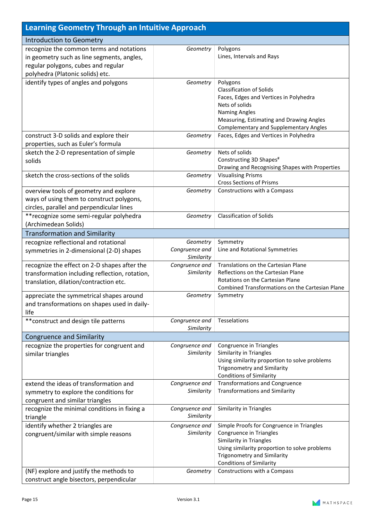| <b>Learning Geometry Through an Intuitive Approach</b>                                                                                                            |                                          |                                                                                                                                                                                                                              |
|-------------------------------------------------------------------------------------------------------------------------------------------------------------------|------------------------------------------|------------------------------------------------------------------------------------------------------------------------------------------------------------------------------------------------------------------------------|
| Introduction to Geometry                                                                                                                                          |                                          |                                                                                                                                                                                                                              |
| recognize the common terms and notations<br>in geometry such as line segments, angles,<br>regular polygons, cubes and regular<br>polyhedra (Platonic solids) etc. | Geometry                                 | Polygons<br>Lines, Intervals and Rays                                                                                                                                                                                        |
| identify types of angles and polygons                                                                                                                             | Geometry                                 | Polygons<br><b>Classification of Solids</b><br>Faces, Edges and Vertices in Polyhedra<br>Nets of solids<br><b>Naming Angles</b><br>Measuring, Estimating and Drawing Angles<br><b>Complementary and Supplementary Angles</b> |
| construct 3-D solids and explore their<br>properties, such as Euler's formula                                                                                     | Geometry                                 | Faces, Edges and Vertices in Polyhedra                                                                                                                                                                                       |
| sketch the 2-D representation of simple<br>solids                                                                                                                 | Geometry                                 | Nets of solids<br>Constructing 3D Shapes <sup>#</sup><br>Drawing and Recognising Shapes with Properties                                                                                                                      |
| sketch the cross-sections of the solids                                                                                                                           | Geometry                                 | <b>Visualising Prisms</b><br><b>Cross Sections of Prisms</b>                                                                                                                                                                 |
| overview tools of geometry and explore<br>ways of using them to construct polygons,<br>circles, parallel and perpendicular lines                                  | Geometry                                 | Constructions with a Compass                                                                                                                                                                                                 |
| ** recognize some semi-regular polyhedra<br>(Archimedean Solids)                                                                                                  | Geometry                                 | <b>Classification of Solids</b>                                                                                                                                                                                              |
| <b>Transformation and Similarity</b>                                                                                                                              |                                          |                                                                                                                                                                                                                              |
| recognize reflectional and rotational<br>symmetries in 2-dimensional (2-D) shapes                                                                                 | Geometry<br>Congruence and<br>Similarity | Symmetry<br>Line and Rotational Symmetries                                                                                                                                                                                   |
| recognize the effect on 2-D shapes after the<br>transformation including reflection, rotation,<br>translation, dilation/contraction etc.                          | Congruence and<br>Similarity             | Translations on the Cartesian Plane<br>Reflections on the Cartesian Plane<br>Rotations on the Cartesian Plane<br>Combined Transformations on the Cartesian Plane                                                             |
| appreciate the symmetrical shapes around<br>and transformations on shapes used in daily-<br>life                                                                  | Geometry                                 | Symmetry                                                                                                                                                                                                                     |
| ** construct and design tile patterns                                                                                                                             | Congruence and<br>Similarity             | Tesselations                                                                                                                                                                                                                 |
| <b>Congruence and Similarity</b>                                                                                                                                  |                                          |                                                                                                                                                                                                                              |
| recognize the properties for congruent and<br>similar triangles                                                                                                   | Congruence and<br>Similarity             | Congruence in Triangles<br>Similarity in Triangles<br>Using similarity proportion to solve problems<br><b>Trigonometry and Similarity</b><br><b>Conditions of Similarity</b>                                                 |
| extend the ideas of transformation and<br>symmetry to explore the conditions for<br>congruent and similar triangles                                               | Congruence and<br>Similarity             | <b>Transformations and Congruence</b><br><b>Transformations and Similarity</b>                                                                                                                                               |
| recognize the minimal conditions in fixing a<br>triangle                                                                                                          | Congruence and<br>Similarity             | Similarity in Triangles                                                                                                                                                                                                      |
| identify whether 2 triangles are<br>congruent/similar with simple reasons                                                                                         | Congruence and<br>Similarity             | Simple Proofs for Congruence in Triangles<br>Congruence in Triangles<br>Similarity in Triangles<br>Using similarity proportion to solve problems<br><b>Trigonometry and Similarity</b><br><b>Conditions of Similarity</b>    |
| (NF) explore and justify the methods to<br>construct angle bisectors, perpendicular                                                                               | Geometry                                 | Constructions with a Compass                                                                                                                                                                                                 |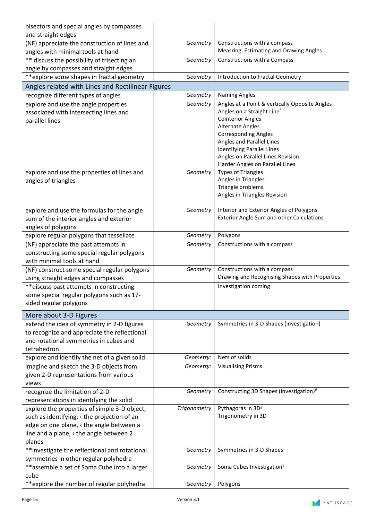| bisectors and special angles by compasses                                          |              |                                                                                          |
|------------------------------------------------------------------------------------|--------------|------------------------------------------------------------------------------------------|
| and straight edges                                                                 |              |                                                                                          |
| (NF) appreciate the construction of lines and                                      | Geometry     | Constructions with a compass                                                             |
| angles with minimal tools at hand                                                  |              | Measring, Estimating and Drawing Angles                                                  |
| ** discuss the possibility of trisecting an                                        | Geometry     | Constructions with a Compass                                                             |
| angle by compasses and straight edges                                              |              |                                                                                          |
| **explore some shapes in fractal geometry                                          | Geometry     | Introduction to Fractal Geometry                                                         |
|                                                                                    |              |                                                                                          |
| Angles related with Lines and Rectilinear Figures                                  | Geometry     |                                                                                          |
| recognize different types of angles                                                |              | <b>Naming Angles</b>                                                                     |
| explore and use the angle properties                                               | Geometry     | Angles at a Point & vertically Opposite Angles<br>Angles on a Straight Line <sup>#</sup> |
| associated with intersecting lines and                                             |              | <b>Cointerior Angles</b>                                                                 |
| parallel lines                                                                     |              | <b>Alternate Angles</b>                                                                  |
|                                                                                    |              | <b>Corresponding Angles</b>                                                              |
|                                                                                    |              | Angles and Parallel Lines                                                                |
|                                                                                    |              | <b>Identifying Parallel Lines</b>                                                        |
|                                                                                    |              | Angles on Parallel Lines Revision                                                        |
|                                                                                    |              | Harder Angles on Parallel Lines                                                          |
| explore and use the properties of lines and                                        | Geometry     | <b>Types of Triangles</b>                                                                |
| angles of triangles                                                                |              | Angles in Triangles                                                                      |
|                                                                                    |              | Triangle problems                                                                        |
|                                                                                    |              | Angles in Triangles Revision                                                             |
| explore and use the formulas for the angle                                         | Geometry     | Interior and Exterior Angles of Polygons                                                 |
| sum of the interior angles and exterior                                            |              | <b>Exterior Angle Sum and other Calculations</b>                                         |
| angles of polygons                                                                 |              |                                                                                          |
| explore regular polygons that tessellate                                           | Geometry     | Polygons                                                                                 |
|                                                                                    | Geometry     | Constructions with a compass                                                             |
| (NF) appreciate the past attempts in<br>constructing some special regular polygons |              |                                                                                          |
| with minimal tools at hand                                                         |              |                                                                                          |
| (NF) construct some special regular polygons                                       | Geometry     | Constructions with a compass                                                             |
| using straight edges and compasses                                                 |              | Drawing and Recognising Shapes with Properties                                           |
| ** discuss past attempts in constructing                                           |              | Investigation coming                                                                     |
| some special regular polygons such as 17-                                          |              |                                                                                          |
| sided regular polygons                                                             |              |                                                                                          |
|                                                                                    |              |                                                                                          |
| More about 3-D Figures                                                             |              |                                                                                          |
| extend the idea of symmetry in 2-D figures                                         | Geometry     | Symmetries in 3-D Shapes (investigation)                                                 |
| to recognize and appreciate the reflectional                                       |              |                                                                                          |
| and rotational symmetries in cubes and                                             |              |                                                                                          |
| tetrahedron                                                                        |              |                                                                                          |
| explore and identify the net of a given solid                                      | Geometry:    | Nets of solids                                                                           |
| imagine and sketch the 3-D objects from                                            | Geometry:    | <b>Visualising Prisms</b>                                                                |
| given 2-D representations from various                                             |              |                                                                                          |
| views                                                                              |              |                                                                                          |
| recognize the limitation of 2-D                                                    | Geometry     | Constructing 3D Shapes (Investigation)#                                                  |
| representations in identifying the solid                                           |              |                                                                                          |
| explore the properties of simple 3-D object,                                       | Trigonometry | Pythagoras in 3D#<br>Trigonometry in 3D                                                  |
| such as identifying; < the projection of an                                        |              |                                                                                          |
| edge on one plane, < the angle between a                                           |              |                                                                                          |
| line and a plane, < the angle between 2                                            |              |                                                                                          |
| planes                                                                             |              |                                                                                          |
| **investigate the reflectional and rotational                                      | Geometry     | Symmetries in 3-D Shapes                                                                 |
| symmetries in other regular polyhedra                                              |              |                                                                                          |
| **assemble a set of Soma Cube into a larger                                        | Geometry     | Soma Cubes Investigation <sup>#</sup>                                                    |
| cube<br>**explore the number of regular polyhedra                                  | Geometry     | Polygons                                                                                 |
|                                                                                    |              |                                                                                          |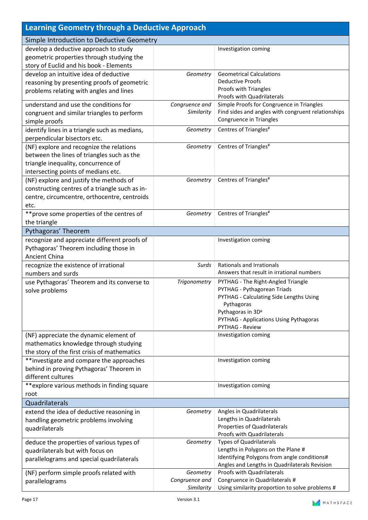| Learning Geometry through a Deductive Approach |                |                                                                                                 |
|------------------------------------------------|----------------|-------------------------------------------------------------------------------------------------|
| Simple Introduction to Deductive Geometry      |                |                                                                                                 |
| develop a deductive approach to study          |                | Investigation coming                                                                            |
| geometric properties through studying the      |                |                                                                                                 |
| story of Euclid and his book - Elements        |                |                                                                                                 |
| develop an intuitive idea of deductive         | Geometry       | <b>Geometrical Calculations</b>                                                                 |
| reasoning by presenting proofs of geometric    |                | <b>Deductive Proofs</b>                                                                         |
| problems relating with angles and lines        |                | Proofs with Triangles                                                                           |
|                                                |                | Proofs with Quadrilaterals                                                                      |
| understand and use the conditions for          | Congruence and | Simple Proofs for Congruence in Triangles<br>Find sides and angles with congruent relationships |
| congruent and similar triangles to perform     | Similarity     | Congruence in Triangles                                                                         |
| simple proofs                                  |                |                                                                                                 |
| identify lines in a triangle such as medians,  | Geometry       | Centres of Triangles <sup>#</sup>                                                               |
| perpendicular bisectors etc.                   |                |                                                                                                 |
| (NF) explore and recognize the relations       | Geometry       | Centres of Triangles <sup>#</sup>                                                               |
| between the lines of triangles such as the     |                |                                                                                                 |
| triangle inequality, concurrence of            |                |                                                                                                 |
| intersecting points of medians etc.            |                |                                                                                                 |
| (NF) explore and justify the methods of        | Geometry       | Centres of Triangles <sup>#</sup>                                                               |
| constructing centres of a triangle such as in- |                |                                                                                                 |
| centre, circumcentre, orthocentre, centroids   |                |                                                                                                 |
| etc.                                           |                |                                                                                                 |
| ** prove some properties of the centres of     | Geometry       | Centres of Triangles <sup>#</sup>                                                               |
| the triangle                                   |                |                                                                                                 |
| Pythagoras' Theorem                            |                |                                                                                                 |
| recognize and appreciate different proofs of   |                | Investigation coming                                                                            |
| Pythagoras' Theorem including those in         |                |                                                                                                 |
| Ancient China                                  |                |                                                                                                 |
| recognize the existence of irrational          | Surds          | <b>Rationals and Irrationals</b><br>Answers that result in irrational numbers                   |
| numbers and surds                              |                |                                                                                                 |
| use Pythagoras' Theorem and its converse to    | Trigonometry   | PYTHAG - The Right-Angled Triangle<br>PYTHAG - Pythagorean Triads                               |
| solve problems                                 |                | PYTHAG - Calculating Side Lengths Using                                                         |
|                                                |                | Pythagoras                                                                                      |
|                                                |                | Pythagoras in 3D#                                                                               |
|                                                |                | PYTHAG - Applications Using Pythagoras                                                          |
|                                                |                | <b>PYTHAG - Review</b>                                                                          |
| (NF) appreciate the dynamic element of         |                | Investigation coming                                                                            |
| mathematics knowledge through studying         |                |                                                                                                 |
| the story of the first crisis of mathematics   |                |                                                                                                 |
| **investigate and compare the approaches       |                | Investigation coming                                                                            |
| behind in proving Pythagoras' Theorem in       |                |                                                                                                 |
| different cultures                             |                |                                                                                                 |
| **explore various methods in finding square    |                | Investigation coming                                                                            |
| root                                           |                |                                                                                                 |
| Quadrilaterals                                 |                |                                                                                                 |
| extend the idea of deductive reasoning in      | Geometry       | Angles in Quadrilaterals                                                                        |
| handling geometric problems involving          |                | Lengths in Quadrilaterals                                                                       |
| quadrilaterals                                 |                | Properties of Quadrilaterals                                                                    |
|                                                | Geometry       | Proofs with Quadrilaterals<br><b>Types of Quadrilaterals</b>                                    |
| deduce the properties of various types of      |                | Lengths in Polygons on the Plane #                                                              |
| quadrilaterals but with focus on               |                | Identifying Polygons from angle conditions#                                                     |
| parallelograms and special quadrilaterals      |                | Angles and Lengths in Quadrilaterals Revision                                                   |
| (NF) perform simple proofs related with        | Geometry       | Proofs with Quadrilaterals                                                                      |
| parallelograms                                 | Congruence and | Congruence in Quadrilaterals #                                                                  |
|                                                | Similarity     | Using similarity proportion to solve problems #                                                 |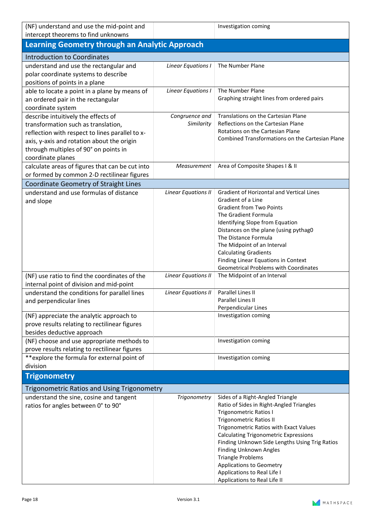| (NF) understand and use the mid-point and<br>intercept theorems to find unknowns                                                                                                                                                          |                              | Investigation coming                                                                                                                                                                                                                                                                                                                                                                                                                                |
|-------------------------------------------------------------------------------------------------------------------------------------------------------------------------------------------------------------------------------------------|------------------------------|-----------------------------------------------------------------------------------------------------------------------------------------------------------------------------------------------------------------------------------------------------------------------------------------------------------------------------------------------------------------------------------------------------------------------------------------------------|
| <b>Learning Geometry through an Analytic Approach</b>                                                                                                                                                                                     |                              |                                                                                                                                                                                                                                                                                                                                                                                                                                                     |
| <b>Introduction to Coordinates</b>                                                                                                                                                                                                        |                              |                                                                                                                                                                                                                                                                                                                                                                                                                                                     |
| understand and use the rectangular and<br>polar coordinate systems to describe<br>positions of points in a plane                                                                                                                          | Linear Equations I           | The Number Plane                                                                                                                                                                                                                                                                                                                                                                                                                                    |
| able to locate a point in a plane by means of<br>an ordered pair in the rectangular<br>coordinate system                                                                                                                                  | Linear Equations I           | The Number Plane<br>Graphing straight lines from ordered pairs                                                                                                                                                                                                                                                                                                                                                                                      |
| describe intuitively the effects of<br>transformation such as translation,<br>reflection with respect to lines parallel to x-<br>axis, y-axis and rotation about the origin<br>through multiples of 90° on points in<br>coordinate planes | Congruence and<br>Similarity | Translations on the Cartesian Plane<br>Reflections on the Cartesian Plane<br>Rotations on the Cartesian Plane<br>Combined Transformations on the Cartesian Plane                                                                                                                                                                                                                                                                                    |
| calculate areas of figures that can be cut into<br>or formed by common 2-D rectilinear figures                                                                                                                                            | Measurement                  | Area of Composite Shapes I & II                                                                                                                                                                                                                                                                                                                                                                                                                     |
| Coordinate Geometry of Straight Lines                                                                                                                                                                                                     |                              |                                                                                                                                                                                                                                                                                                                                                                                                                                                     |
| understand and use formulas of distance<br>and slope                                                                                                                                                                                      | <b>Linear Equations II</b>   | Gradient of Horizontal and Vertical Lines<br>Gradient of a Line<br><b>Gradient from Two Points</b><br>The Gradient Formula<br>Identifying Slope from Equation<br>Distances on the plane (using pythag0<br>The Distance Formula<br>The Midpoint of an Interval<br><b>Calculating Gradients</b><br>Finding Linear Equations in Context<br><b>Geometrical Problems with Coordinates</b>                                                                |
| (NF) use ratio to find the coordinates of the<br>internal point of division and mid-point                                                                                                                                                 | <b>Linear Equations II</b>   | The Midpoint of an Interval                                                                                                                                                                                                                                                                                                                                                                                                                         |
| understand the conditions for parallel lines<br>and perpendicular lines                                                                                                                                                                   | Linear Equations II          | Parallel Lines II<br>Parallel Lines II<br>Perpendicular Lines                                                                                                                                                                                                                                                                                                                                                                                       |
| (NF) appreciate the analytic approach to<br>prove results relating to rectilinear figures<br>besides deductive approach                                                                                                                   |                              | Investigation coming                                                                                                                                                                                                                                                                                                                                                                                                                                |
| (NF) choose and use appropriate methods to<br>prove results relating to rectilinear figures                                                                                                                                               |                              | Investigation coming                                                                                                                                                                                                                                                                                                                                                                                                                                |
| **explore the formula for external point of<br>division                                                                                                                                                                                   |                              | Investigation coming                                                                                                                                                                                                                                                                                                                                                                                                                                |
| <b>Trigonometry</b>                                                                                                                                                                                                                       |                              |                                                                                                                                                                                                                                                                                                                                                                                                                                                     |
| <b>Trigonometric Ratios and Using Trigonometry</b>                                                                                                                                                                                        |                              |                                                                                                                                                                                                                                                                                                                                                                                                                                                     |
| understand the sine, cosine and tangent<br>ratios for angles between 0° to 90°                                                                                                                                                            | Trigonometry                 | Sides of a Right-Angled Triangle<br>Ratio of Sides in Right-Angled Triangles<br><b>Trigonometric Ratios I</b><br><b>Trigonometric Ratios II</b><br>Trigonometric Ratios with Exact Values<br><b>Calculating Trigonometric Expressions</b><br>Finding Unknown Side Lengths Using Trig Ratios<br>Finding Unknown Angles<br><b>Triangle Problems</b><br><b>Applications to Geometry</b><br>Applications to Real Life I<br>Applications to Real Life II |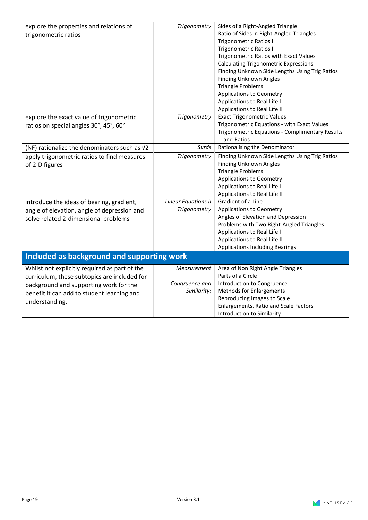| Trigonometry                                 | Sides of a Right-Angled Triangle<br>Ratio of Sides in Right-Angled Triangles<br><b>Trigonometric Ratios I</b><br><b>Trigonometric Ratios II</b><br>Trigonometric Ratios with Exact Values<br><b>Calculating Trigonometric Expressions</b><br>Finding Unknown Side Lengths Using Trig Ratios<br>Finding Unknown Angles<br><b>Triangle Problems</b><br><b>Applications to Geometry</b><br>Applications to Real Life I<br>Applications to Real Life II |
|----------------------------------------------|-----------------------------------------------------------------------------------------------------------------------------------------------------------------------------------------------------------------------------------------------------------------------------------------------------------------------------------------------------------------------------------------------------------------------------------------------------|
| Trigonometry                                 | <b>Exact Trigonometric Values</b>                                                                                                                                                                                                                                                                                                                                                                                                                   |
|                                              | Trigonometric Equations - with Exact Values<br>Trigonometric Equations - Complimentary Results<br>and Ratios                                                                                                                                                                                                                                                                                                                                        |
| Surds                                        | Rationalising the Denominator                                                                                                                                                                                                                                                                                                                                                                                                                       |
| Trigonometry<br><b>Linear Equations II</b>   | Finding Unknown Side Lengths Using Trig Ratios<br>Finding Unknown Angles<br><b>Triangle Problems</b><br><b>Applications to Geometry</b><br>Applications to Real Life I<br>Applications to Real Life II<br>Gradient of a Line                                                                                                                                                                                                                        |
| Trigonometry                                 | <b>Applications to Geometry</b><br>Angles of Elevation and Depression<br>Problems with Two Right-Angled Triangles<br>Applications to Real Life I<br>Applications to Real Life II<br><b>Applications Including Bearings</b>                                                                                                                                                                                                                          |
| Included as background and supporting work   |                                                                                                                                                                                                                                                                                                                                                                                                                                                     |
| Measurement<br>Congruence and<br>Similarity: | Area of Non Right Angle Triangles<br>Parts of a Circle<br>Introduction to Congruence<br><b>Methods for Enlargements</b><br>Reproducing Images to Scale<br>Enlargements, Ratio and Scale Factors<br>Introduction to Similarity                                                                                                                                                                                                                       |
|                                              |                                                                                                                                                                                                                                                                                                                                                                                                                                                     |

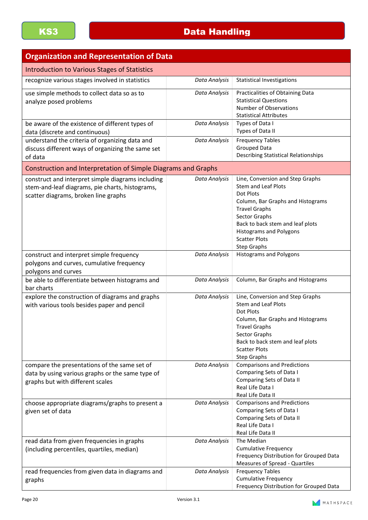| <b>Organization and Representation of Data</b>                                                                                               |               |                                                                                                                                                                                                                                                                               |
|----------------------------------------------------------------------------------------------------------------------------------------------|---------------|-------------------------------------------------------------------------------------------------------------------------------------------------------------------------------------------------------------------------------------------------------------------------------|
| <b>Introduction to Various Stages of Statistics</b>                                                                                          |               |                                                                                                                                                                                                                                                                               |
| recognize various stages involved in statistics                                                                                              | Data Analysis | <b>Statistical Investigations</b>                                                                                                                                                                                                                                             |
| use simple methods to collect data so as to<br>analyze posed problems                                                                        | Data Analysis | Practicalities of Obtaining Data<br><b>Statistical Questions</b><br>Number of Observations<br><b>Statistical Attributes</b>                                                                                                                                                   |
| be aware of the existence of different types of<br>data (discrete and continuous)                                                            | Data Analysis | Types of Data I<br>Types of Data II                                                                                                                                                                                                                                           |
| understand the criteria of organizing data and<br>discuss different ways of organizing the same set<br>of data                               | Data Analysis | <b>Frequency Tables</b><br><b>Grouped Data</b><br><b>Describing Statistical Relationships</b>                                                                                                                                                                                 |
| Construction and Interpretation of Simple Diagrams and Graphs                                                                                |               |                                                                                                                                                                                                                                                                               |
| construct and interpret simple diagrams including<br>stem-and-leaf diagrams, pie charts, histograms,<br>scatter diagrams, broken line graphs | Data Analysis | Line, Conversion and Step Graphs<br><b>Stem and Leaf Plots</b><br>Dot Plots<br>Column, Bar Graphs and Histograms<br><b>Travel Graphs</b><br>Sector Graphs<br>Back to back stem and leaf plots<br><b>Histograms and Polygons</b><br><b>Scatter Plots</b><br><b>Step Graphs</b> |
| construct and interpret simple frequency<br>polygons and curves, cumulative frequency<br>polygons and curves                                 | Data Analysis | <b>Histograms and Polygons</b>                                                                                                                                                                                                                                                |
| be able to differentiate between histograms and<br>bar charts                                                                                | Data Analysis | Column, Bar Graphs and Histograms                                                                                                                                                                                                                                             |
| explore the construction of diagrams and graphs<br>with various tools besides paper and pencil                                               | Data Analysis | Line, Conversion and Step Graphs<br><b>Stem and Leaf Plots</b><br>Dot Plots<br>Column, Bar Graphs and Histograms<br><b>Travel Graphs</b><br>Sector Graphs<br>Back to back stem and leaf plots<br><b>Scatter Plots</b><br><b>Step Graphs</b>                                   |
| compare the presentations of the same set of<br>data by using various graphs or the same type of<br>graphs but with different scales         | Data Analysis | <b>Comparisons and Predictions</b><br>Comparing Sets of Data I<br>Comparing Sets of Data II<br>Real Life Data I<br>Real Life Data II                                                                                                                                          |
| choose appropriate diagrams/graphs to present a<br>given set of data                                                                         | Data Analysis | <b>Comparisons and Predictions</b><br>Comparing Sets of Data I<br>Comparing Sets of Data II<br>Real Life Data I<br>Real Life Data II                                                                                                                                          |
| read data from given frequencies in graphs<br>(including percentiles, quartiles, median)                                                     | Data Analysis | The Median<br><b>Cumulative Frequency</b><br>Frequency Distribution for Grouped Data<br>Measures of Spread - Quartiles                                                                                                                                                        |
| read frequencies from given data in diagrams and<br>graphs                                                                                   | Data Analysis | <b>Frequency Tables</b><br><b>Cumulative Frequency</b><br>Frequency Distribution for Grouped Data                                                                                                                                                                             |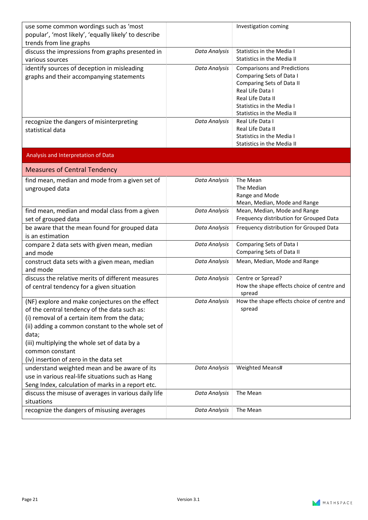| use some common wordings such as 'most                |               | Investigation coming                       |
|-------------------------------------------------------|---------------|--------------------------------------------|
| popular', 'most likely', 'equally likely' to describe |               |                                            |
| trends from line graphs                               |               |                                            |
| discuss the impressions from graphs presented in      | Data Analysis | <b>Statistics in the Media I</b>           |
| various sources                                       |               | Statistics in the Media II                 |
| identify sources of deception in misleading           | Data Analysis | <b>Comparisons and Predictions</b>         |
| graphs and their accompanying statements              |               | Comparing Sets of Data I                   |
|                                                       |               | Comparing Sets of Data II                  |
|                                                       |               | Real Life Data I                           |
|                                                       |               | Real Life Data II                          |
|                                                       |               | <b>Statistics in the Media I</b>           |
|                                                       |               | Statistics in the Media II                 |
| recognize the dangers of misinterpreting              | Data Analysis | Real Life Data I<br>Real Life Data II      |
| statistical data                                      |               | <b>Statistics in the Media I</b>           |
|                                                       |               | <b>Statistics in the Media II</b>          |
|                                                       |               |                                            |
| Analysis and Interpretation of Data                   |               |                                            |
| <b>Measures of Central Tendency</b>                   |               |                                            |
| find mean, median and mode from a given set of        | Data Analysis | The Mean                                   |
| ungrouped data                                        |               | The Median                                 |
|                                                       |               | Range and Mode                             |
|                                                       |               | Mean, Median, Mode and Range               |
| find mean, median and modal class from a given        | Data Analysis | Mean, Median, Mode and Range               |
| set of grouped data                                   |               | Frequency distribution for Grouped Data    |
| be aware that the mean found for grouped data         | Data Analysis | Frequency distribution for Grouped Data    |
| is an estimation                                      |               |                                            |
| compare 2 data sets with given mean, median           | Data Analysis | Comparing Sets of Data I                   |
| and mode                                              |               | Comparing Sets of Data II                  |
| construct data sets with a given mean, median         | Data Analysis | Mean, Median, Mode and Range               |
| and mode                                              |               |                                            |
| discuss the relative merits of different measures     | Data Analysis | Centre or Spread?                          |
| of central tendency for a given situation             |               | How the shape effects choice of centre and |
|                                                       | Data Analysis | spread                                     |
| (NF) explore and make conjectures on the effect       |               | How the shape effects choice of centre and |
| of the central tendency of the data such as:          |               | spread                                     |
| (i) removal of a certain item from the data;          |               |                                            |
| (ii) adding a common constant to the whole set of     |               |                                            |
| data;                                                 |               |                                            |
| (iii) multiplying the whole set of data by a          |               |                                            |
| common constant                                       |               |                                            |
| (iv) insertion of zero in the data set                |               |                                            |
| understand weighted mean and be aware of its          | Data Analysis | Weighted Means#                            |
| use in various real-life situations such as Hang      |               |                                            |
| Seng Index, calculation of marks in a report etc.     |               |                                            |
| discuss the misuse of averages in various daily life  | Data Analysis | The Mean                                   |
| situations                                            |               |                                            |
| recognize the dangers of misusing averages            | Data Analysis | The Mean                                   |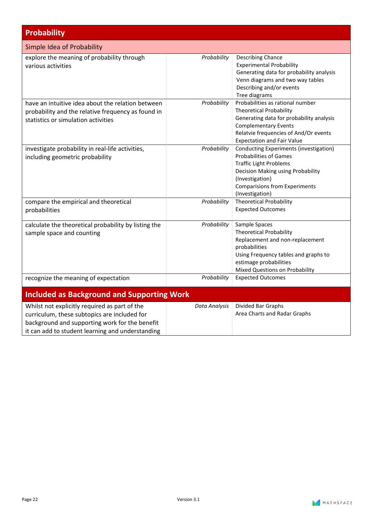| <b>Probability</b>                                                                                                                                                                                  |               |                                                                                                                                                                                                                             |
|-----------------------------------------------------------------------------------------------------------------------------------------------------------------------------------------------------|---------------|-----------------------------------------------------------------------------------------------------------------------------------------------------------------------------------------------------------------------------|
| Simple Idea of Probability                                                                                                                                                                          |               |                                                                                                                                                                                                                             |
| explore the meaning of probability through<br>various activities                                                                                                                                    | Probability   | <b>Describing Chance</b><br><b>Experimental Probability</b><br>Generating data for probability analysis<br>Venn diagrams and two way tables<br>Describing and/or events<br>Tree diagrams                                    |
| have an intuitive idea about the relation between<br>probability and the relative frequency as found in<br>statistics or simulation activities                                                      | Probability   | Probabilities as rational number<br><b>Theoretical Probability</b><br>Generating data for probability analysis<br><b>Complementary Events</b><br>Relatvie frequencies of And/Or events<br><b>Expectation and Fair Value</b> |
| investigate probability in real-life activities,<br>including geometric probability                                                                                                                 | Probability   | Conducting Experiments (investigation)<br><b>Probabilities of Games</b><br><b>Traffic Light Problems</b><br>Decision Making using Probability<br>(Investigation)<br><b>Comparisions from Experiments</b><br>(Investigation) |
| compare the empirical and theoretical<br>probabilities                                                                                                                                              | Probability   | <b>Theoretical Probability</b><br><b>Expected Outcomes</b>                                                                                                                                                                  |
| calculate the theoretical probability by listing the<br>sample space and counting                                                                                                                   | Probability   | Sample Spaces<br><b>Theoretical Probability</b><br>Replacement and non-replacement<br>probabilities<br>Using Frequency tables and graphs to<br>estimage probabilities<br>Mixed Questions on Probability                     |
| recognize the meaning of expectation                                                                                                                                                                | Probability   | <b>Expected Outcomes</b>                                                                                                                                                                                                    |
| <b>Included as Background and Supporting Work</b>                                                                                                                                                   |               |                                                                                                                                                                                                                             |
| Whilst not explicitly required as part of the<br>curriculum, these subtopics are included for<br>background and supporting work for the benefit<br>it can add to student learning and understanding | Data Analysis | Divided Bar Graphs<br>Area Charts and Radar Graphs                                                                                                                                                                          |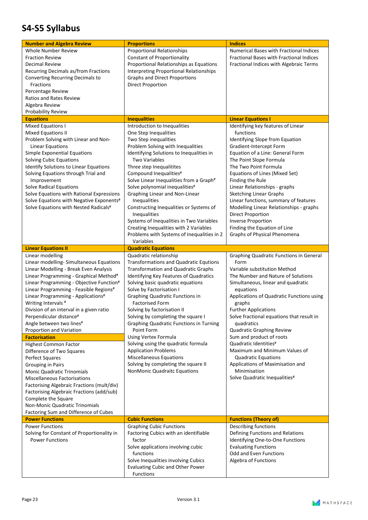### <span id="page-22-0"></span>**S4-S5 Syllabus**

| <b>Number and Algebra Review</b>                                                                                                                                                                                                                                                                                                                                                                                                                        | <b>Proportions</b>                                                                                                                                                                                                                                                                                                                                                                                                                                                                                                                                                          | <b>Indices</b>                                                                                                                                                                                                                                                                                                                                                                                                                                                                                                                              |
|---------------------------------------------------------------------------------------------------------------------------------------------------------------------------------------------------------------------------------------------------------------------------------------------------------------------------------------------------------------------------------------------------------------------------------------------------------|-----------------------------------------------------------------------------------------------------------------------------------------------------------------------------------------------------------------------------------------------------------------------------------------------------------------------------------------------------------------------------------------------------------------------------------------------------------------------------------------------------------------------------------------------------------------------------|---------------------------------------------------------------------------------------------------------------------------------------------------------------------------------------------------------------------------------------------------------------------------------------------------------------------------------------------------------------------------------------------------------------------------------------------------------------------------------------------------------------------------------------------|
| Whole Number Review<br><b>Fraction Review</b><br><b>Decimal Review</b><br>Recurring Decimals as/from Fractions<br>Converting Recurring Decimals to<br>Fractions<br>Percentage Review<br><b>Ratios and Rates Review</b><br>Algebra Review<br>Probability Review                                                                                                                                                                                          | <b>Proportional Relationships</b><br><b>Constant of Proportionality</b><br>Proportional Relationships as Equations<br><b>Interpreting Proportional Relationships</b><br><b>Graphs and Direct Proportions</b><br><b>Direct Proportion</b>                                                                                                                                                                                                                                                                                                                                    | Numerical Bases with Fractional Indices<br>Fractional Bases with Fractional Indices<br>Fractional Indices with Algebraic Terms                                                                                                                                                                                                                                                                                                                                                                                                              |
| <b>Equations</b>                                                                                                                                                                                                                                                                                                                                                                                                                                        | <b>Inequalities</b>                                                                                                                                                                                                                                                                                                                                                                                                                                                                                                                                                         | <b>Linear Equations I</b>                                                                                                                                                                                                                                                                                                                                                                                                                                                                                                                   |
| <b>Mixed Equations I</b><br><b>Mixed Equations II</b><br>Problem Solving with Linear and Non-<br><b>Linear Equations</b><br>Simple Exponential Equations<br><b>Solving Cubic Equations</b><br>Identify Solutions to Linear Equations<br>Solving Equations through Trial and<br>Improvement<br>Solve Radical Equations<br>Solve Equations with Rational Expressions<br>Solve Equations with Negative Exponents#<br>Solve Equations with Nested Radicals# | Introduction to Inequalities<br>One Step Inequalities<br>Two Step inequalities<br>Problem Solving with Inequalities<br>Identifying Solutions to Inequalities in<br><b>Two Variables</b><br>Three step Inequalitites<br>Compound Inequalities#<br>Solve Linear Inequalities from a Graph#<br>Solve polynomial inequalities#<br>Graphing Linear and Non-Linear<br>Inequalities<br>Constructing Inequalities or Systems of<br>Inequalities<br>Systems of Inequalities in Two Variables<br>Creating Inequalities with 2 Variables<br>Problems with Systems of Inequalities in 2 | Identifying key features of Linear<br>functions<br>Identifying Slope from Equation<br>Gradient-Intercept Form<br>Equation of a Line: General Form<br>The Point Slope Formula<br>The Two Point Formula<br>Equations of Lines (Mixed Set)<br>Finding the Rule<br>Linear Relationships - graphs<br><b>Sketching Linear Graphs</b><br>Linear functions, summary of features<br>Modelling Linear Relationships - graphs<br><b>Direct Proportion</b><br><b>Inverse Proportion</b><br>Finding the Equation of Line<br>Graphs of Physical Phenomena |
|                                                                                                                                                                                                                                                                                                                                                                                                                                                         | Variables                                                                                                                                                                                                                                                                                                                                                                                                                                                                                                                                                                   |                                                                                                                                                                                                                                                                                                                                                                                                                                                                                                                                             |
| <b>Linear Equations II</b>                                                                                                                                                                                                                                                                                                                                                                                                                              | <b>Quadratic Equations</b>                                                                                                                                                                                                                                                                                                                                                                                                                                                                                                                                                  |                                                                                                                                                                                                                                                                                                                                                                                                                                                                                                                                             |
| Linear modelling<br>Linear modelling-Simultaneous Equations<br>Linear Modelling - Break Even Analysis<br>Linear Programming - Graphical Method#<br>Linear Programming - Objective Function#<br>Linear Programming - Feasible Regions#<br>Linear Programming - Applications#<br>Writing Intervals <sup>#</sup><br>Division of an interval in a given ratio<br>Perpendicular distance#<br>Angle between two lines#<br>Proportion and Variation            | Quadratic relationship<br><b>Transformations and Quadratic Equtions</b><br><b>Transformation and Quadratic Graphs</b><br>Identifying Key Features of Quadratics<br>Solving basic quadratic equations<br>Solve by Factorisation I<br><b>Graphing Quadratic Functions in</b><br><b>Factorised Form</b><br>Solving by factorisation II<br>Solving by completing the square I<br><b>Graphing Quadratic Functions in Turning</b><br>Point Form                                                                                                                                   | Graphing Quadratic Functions in General<br>Form<br>Variable substitution Method<br>The Number and Nature of Solutions<br>Simultaneous, linear and quadratic<br>equations<br>Applications of Quadratic Functions using<br>graphs<br><b>Further Applications</b><br>Solve fractional equations that result in<br>quadratics<br>Quadratic Graphing Review                                                                                                                                                                                      |
| <b>Factorisation</b>                                                                                                                                                                                                                                                                                                                                                                                                                                    | Using Vertex Formula                                                                                                                                                                                                                                                                                                                                                                                                                                                                                                                                                        | Sum and product of roots                                                                                                                                                                                                                                                                                                                                                                                                                                                                                                                    |
| <b>Highest Common Factor</b><br>Difference of Two Squares<br>Perfect Squares<br><b>Grouping in Pairs</b><br>Monic Quadratic Trinomials<br><b>Miscellaneous Factorisations</b><br>Factorising Algebraic Fractions (mult/div)<br>Factorising Algebraic Fractions (add/sub)<br>Complete the Square<br>Non-Monic Quadratic Trinomials<br>Factoring Sum and Difference of Cubes                                                                              | Solving using the quadratic formula<br><b>Application Problems</b><br><b>Miscellaneous Equations</b><br>Solving by completing the square II<br>NonMonic Quadraitc Equations                                                                                                                                                                                                                                                                                                                                                                                                 | Quadratic Identities#<br>Maximum and Minimum Values of<br><b>Quadratic Equations</b><br>Applications of Maximisation and<br>Minimisation<br>Solve Quadratic Inequalities#                                                                                                                                                                                                                                                                                                                                                                   |
| <b>Power Functions</b>                                                                                                                                                                                                                                                                                                                                                                                                                                  | <b>Cubic Functions</b>                                                                                                                                                                                                                                                                                                                                                                                                                                                                                                                                                      | <b>Functions (Theory of)</b>                                                                                                                                                                                                                                                                                                                                                                                                                                                                                                                |
| <b>Power Functions</b><br>Solving for Constant of Proportionality in<br><b>Power Functions</b>                                                                                                                                                                                                                                                                                                                                                          | <b>Graphing Cubic Functions</b><br>Factoring Cubics with an identifiable<br>factor<br>Solve applications involving cubic<br>functions<br>Solve Inequalities involving Cubics<br><b>Evaluating Cubic and Other Power</b><br>Functions                                                                                                                                                                                                                                                                                                                                        | Describing functions<br>Defining Functions and Relations<br>Identifying One-to-One Functions<br><b>Evaluating Functions</b><br>Odd and Even Functions<br>Algebra of Functions                                                                                                                                                                                                                                                                                                                                                               |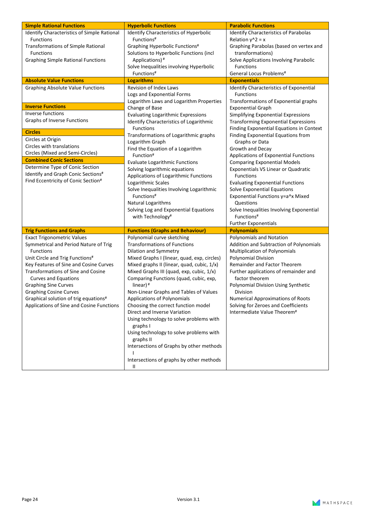| <b>Simple Rational Functions</b>                  | <b>Hyperbolic Functions</b>                          | <b>Parabolic Functions</b>                  |
|---------------------------------------------------|------------------------------------------------------|---------------------------------------------|
| Identify Characteristics of Simple Rational       | Identify Characteristics of Hyperbolic               | Identify Characteristics of Parabolas       |
| Functions                                         | Functions <sup>#</sup>                               | Relation $y^2$ = x                          |
| Transformations of Simple Rational                | Graphing Hyperbolic Functions#                       | Graphing Parabolas (based on vertex and     |
| <b>Functions</b>                                  | Solutions to Hyperbolic Functions (incl              | transformations)                            |
| <b>Graphing Simple Rational Functions</b>         | Applications) <sup>#</sup>                           | Solve Applications Involving Parabolic      |
|                                                   | Solve Inequalities involving Hyperbolic              | <b>Functions</b>                            |
|                                                   | Functions#                                           | General Locus Problems <sup>#</sup>         |
| <b>Absolute Value Functions</b>                   | <b>Logarithms</b>                                    | <b>Exponentials</b>                         |
| <b>Graphing Absolute Value Functions</b>          | Revision of Index Laws                               | Identify Characteristics of Exponential     |
|                                                   | Logs and Exponential Forms                           | <b>Functions</b>                            |
|                                                   | Logarithm Laws and Logarithm Properties              | Transformations of Exponential graphs       |
| <b>Inverse Functions</b>                          | Change of Base                                       | <b>Exponential Graph</b>                    |
| Inverse functions                                 | <b>Evaluating Logarithmic Expressions</b>            | Simplifying Exponential Expressions         |
| Graphs of Inverse Functions                       | Identify Characteristics of Logarithmic              | <b>Transforming Exponential Expressions</b> |
| <b>Circles</b>                                    | Functions                                            | Finding Exponential Equations in Context    |
|                                                   | Transformations of Logarithmic graphs                | Finding Exponential Equations from          |
| Circles at Origin<br>Circles with translations    | Logarithm Graph                                      | Graphs or Data                              |
|                                                   | Find the Equation of a Logarithm                     | Growth and Decay                            |
| Circles (Mixed and Semi-Circles)                  | Function#                                            | Applications of Exponential Functions       |
| <b>Combined Conic Sections</b>                    | <b>Evaluate Logarithmic Functions</b>                | <b>Comparing Exponential Models</b>         |
| Determine Type of Conic Section                   | Solving logarithmic equations                        | Exponentials VS Linear or Quadratic         |
| Identify and Graph Conic Sections#                | Applications of Logarithmic Functions                | <b>Functions</b>                            |
| Find Eccentricity of Conic Section#               | Logarithmic Scales                                   | <b>Evaluating Exponential Functions</b>     |
|                                                   | Solve Inequalities Involving Logarithmic             | Solve Exponential Equations                 |
|                                                   | Functions <sup>#</sup>                               | Exponential Functions y=a^x Mixed           |
|                                                   | Natural Logarithms                                   | Questions                                   |
|                                                   | Solving Log and Exponential Equations                | Solve Inequalities Involving Exponential    |
|                                                   | with Technology <sup>#</sup>                         | Functions <sup>#</sup>                      |
|                                                   |                                                      | <b>Further Exponentials</b>                 |
| <b>Trig Functions and Graphs</b>                  | <b>Functions (Graphs and Behaviour)</b>              | <b>Polynomials</b>                          |
| <b>Exact Trigonometric Values</b>                 | Polynomial curve sketching                           | Polynomials and Notation                    |
| Symmetrical and Period Nature of Trig             | <b>Transformations of Functions</b>                  | Addition and Subtraction of Polynomials     |
| <b>Functions</b>                                  | Dilation and Symmetry                                | <b>Multiplication of Polynomials</b>        |
| Unit Circle and Trig Functions <sup>#</sup>       | Mixed Graphs I (linear, quad, exp, circles)          | Polynomial Division                         |
| Key Features of Sine and Cosine Curves            | Mixed graphs II (linear, quad, cubic, 1/x)           | Remainder and Factor Theorem                |
| <b>Transformations of Sine and Cosine</b>         | Mixed Graphs III (quad, exp, cubic, 1/x)             | Further applications of remainder and       |
| <b>Curves and Equations</b>                       | Comparing Functions (quad, cubic, exp,               | factor theorem                              |
| <b>Graphing Sine Curves</b>                       | linear) <sup>#</sup>                                 | Polynomial Division Using Synthetic         |
| <b>Graphing Cosine Curves</b>                     | Non-Linear Graphs and Tables of Values               | <b>Division</b>                             |
| Graphical solution of trig equations <sup>#</sup> | Applications of Polynomials                          | <b>Numerical Approximations of Roots</b>    |
| Applications of Sine and Cosine Functions         | Choosing the correct function model                  | Solving for Zeroes and Coefficients         |
|                                                   | Direct and Inverse Variation                         | Intermediate Value Theorem <sup>#</sup>     |
|                                                   | Using technology to solve problems with<br>graphs I  |                                             |
|                                                   | Using technology to solve problems with<br>graphs II |                                             |
|                                                   | Intersections of Graphs by other methods             |                                             |
|                                                   | Intersections of graphs by other methods             |                                             |
|                                                   | Ш                                                    |                                             |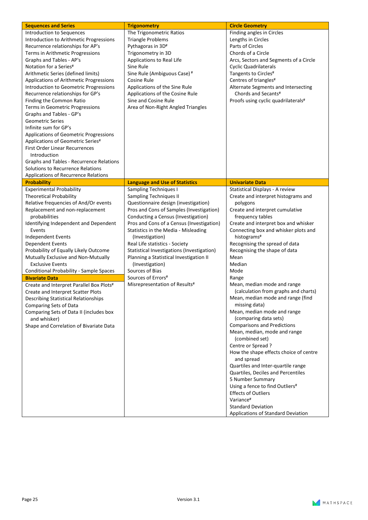| Introduction to Sequences<br>The Trigonometric Ratios<br>Finding angles in Circles<br>Introduction to Arithmetic Progressions<br><b>Triangle Problems</b><br>Lengths in Circles<br>Pythagoras in 3D#<br>Parts of Circles<br>Recurrence relationships for AP's<br>Chords of a Circle<br>Terms in Arithmetic Progressions<br>Trigonometry in 3D<br>Graphs and Tables - AP's<br>Applications to Real Life<br>Arcs, Sectors and Segments of a Circle<br>Notation for a Series#<br>Sine Rule<br><b>Cyclic Quadrilaterals</b><br>Arithmetic Series (defined limits)<br>Sine Rule (Ambiguous Case) <sup>#</sup><br>Tangents to Circles#<br>Applications of Arithmetic Progressions<br><b>Cosine Rule</b><br>Centres of triangles#<br>Introduction to Geometric Progressions<br>Applications of the Sine Rule<br>Alternate Segments and Intersecting<br>Chords and Secants#<br>Recurrence relationships for GP's<br>Applications of the Cosine Rule<br>Sine and Cosine Rule<br>Proofs using cyclic quadrilaterals#<br>Finding the Common Ratio<br>Area of Non-Right Angled Triangles<br>Terms in Geometric Progressions<br>Graphs and Tables - GP's<br><b>Geometric Series</b><br>Infinite sum for GP's<br>Applications of Geometric Progressions<br>Applications of Geometric Series#<br><b>First Order Linear Recurrences</b><br>Introduction<br>Graphs and Tables - Recurrence Relations<br>Solutions to Recurrence Relations<br>Applications of Recurrence Relations<br><b>Probability</b><br><b>Language and Use of Statistics</b><br><b>Univariate Data</b><br><b>Experimental Probability</b><br>Sampling Techniques I<br>Statistical Displays - A review<br><b>Theoretical Probability</b><br><b>Sampling Techniques II</b><br>Create and interpret histograms and<br>Questionnaire design (investigation)<br>Relative frequencies of And/Or events<br>polygons<br>Replacement and non-replacement<br>Pros and Cons of Samples (Investigation)<br>Create and interpret cumulative<br>probabilities<br>frequency tables |
|------------------------------------------------------------------------------------------------------------------------------------------------------------------------------------------------------------------------------------------------------------------------------------------------------------------------------------------------------------------------------------------------------------------------------------------------------------------------------------------------------------------------------------------------------------------------------------------------------------------------------------------------------------------------------------------------------------------------------------------------------------------------------------------------------------------------------------------------------------------------------------------------------------------------------------------------------------------------------------------------------------------------------------------------------------------------------------------------------------------------------------------------------------------------------------------------------------------------------------------------------------------------------------------------------------------------------------------------------------------------------------------------------------------------------------------------------------------------------------------------------------------------------------------------------------------------------------------------------------------------------------------------------------------------------------------------------------------------------------------------------------------------------------------------------------------------------------------------------------------------------------------------------------------------------------------------------------------------------------------------------------------------|
|                                                                                                                                                                                                                                                                                                                                                                                                                                                                                                                                                                                                                                                                                                                                                                                                                                                                                                                                                                                                                                                                                                                                                                                                                                                                                                                                                                                                                                                                                                                                                                                                                                                                                                                                                                                                                                                                                                                                                                                                                        |
|                                                                                                                                                                                                                                                                                                                                                                                                                                                                                                                                                                                                                                                                                                                                                                                                                                                                                                                                                                                                                                                                                                                                                                                                                                                                                                                                                                                                                                                                                                                                                                                                                                                                                                                                                                                                                                                                                                                                                                                                                        |
|                                                                                                                                                                                                                                                                                                                                                                                                                                                                                                                                                                                                                                                                                                                                                                                                                                                                                                                                                                                                                                                                                                                                                                                                                                                                                                                                                                                                                                                                                                                                                                                                                                                                                                                                                                                                                                                                                                                                                                                                                        |
|                                                                                                                                                                                                                                                                                                                                                                                                                                                                                                                                                                                                                                                                                                                                                                                                                                                                                                                                                                                                                                                                                                                                                                                                                                                                                                                                                                                                                                                                                                                                                                                                                                                                                                                                                                                                                                                                                                                                                                                                                        |
|                                                                                                                                                                                                                                                                                                                                                                                                                                                                                                                                                                                                                                                                                                                                                                                                                                                                                                                                                                                                                                                                                                                                                                                                                                                                                                                                                                                                                                                                                                                                                                                                                                                                                                                                                                                                                                                                                                                                                                                                                        |
|                                                                                                                                                                                                                                                                                                                                                                                                                                                                                                                                                                                                                                                                                                                                                                                                                                                                                                                                                                                                                                                                                                                                                                                                                                                                                                                                                                                                                                                                                                                                                                                                                                                                                                                                                                                                                                                                                                                                                                                                                        |
|                                                                                                                                                                                                                                                                                                                                                                                                                                                                                                                                                                                                                                                                                                                                                                                                                                                                                                                                                                                                                                                                                                                                                                                                                                                                                                                                                                                                                                                                                                                                                                                                                                                                                                                                                                                                                                                                                                                                                                                                                        |
|                                                                                                                                                                                                                                                                                                                                                                                                                                                                                                                                                                                                                                                                                                                                                                                                                                                                                                                                                                                                                                                                                                                                                                                                                                                                                                                                                                                                                                                                                                                                                                                                                                                                                                                                                                                                                                                                                                                                                                                                                        |
|                                                                                                                                                                                                                                                                                                                                                                                                                                                                                                                                                                                                                                                                                                                                                                                                                                                                                                                                                                                                                                                                                                                                                                                                                                                                                                                                                                                                                                                                                                                                                                                                                                                                                                                                                                                                                                                                                                                                                                                                                        |
|                                                                                                                                                                                                                                                                                                                                                                                                                                                                                                                                                                                                                                                                                                                                                                                                                                                                                                                                                                                                                                                                                                                                                                                                                                                                                                                                                                                                                                                                                                                                                                                                                                                                                                                                                                                                                                                                                                                                                                                                                        |
|                                                                                                                                                                                                                                                                                                                                                                                                                                                                                                                                                                                                                                                                                                                                                                                                                                                                                                                                                                                                                                                                                                                                                                                                                                                                                                                                                                                                                                                                                                                                                                                                                                                                                                                                                                                                                                                                                                                                                                                                                        |
|                                                                                                                                                                                                                                                                                                                                                                                                                                                                                                                                                                                                                                                                                                                                                                                                                                                                                                                                                                                                                                                                                                                                                                                                                                                                                                                                                                                                                                                                                                                                                                                                                                                                                                                                                                                                                                                                                                                                                                                                                        |
|                                                                                                                                                                                                                                                                                                                                                                                                                                                                                                                                                                                                                                                                                                                                                                                                                                                                                                                                                                                                                                                                                                                                                                                                                                                                                                                                                                                                                                                                                                                                                                                                                                                                                                                                                                                                                                                                                                                                                                                                                        |
|                                                                                                                                                                                                                                                                                                                                                                                                                                                                                                                                                                                                                                                                                                                                                                                                                                                                                                                                                                                                                                                                                                                                                                                                                                                                                                                                                                                                                                                                                                                                                                                                                                                                                                                                                                                                                                                                                                                                                                                                                        |
|                                                                                                                                                                                                                                                                                                                                                                                                                                                                                                                                                                                                                                                                                                                                                                                                                                                                                                                                                                                                                                                                                                                                                                                                                                                                                                                                                                                                                                                                                                                                                                                                                                                                                                                                                                                                                                                                                                                                                                                                                        |
|                                                                                                                                                                                                                                                                                                                                                                                                                                                                                                                                                                                                                                                                                                                                                                                                                                                                                                                                                                                                                                                                                                                                                                                                                                                                                                                                                                                                                                                                                                                                                                                                                                                                                                                                                                                                                                                                                                                                                                                                                        |
|                                                                                                                                                                                                                                                                                                                                                                                                                                                                                                                                                                                                                                                                                                                                                                                                                                                                                                                                                                                                                                                                                                                                                                                                                                                                                                                                                                                                                                                                                                                                                                                                                                                                                                                                                                                                                                                                                                                                                                                                                        |
|                                                                                                                                                                                                                                                                                                                                                                                                                                                                                                                                                                                                                                                                                                                                                                                                                                                                                                                                                                                                                                                                                                                                                                                                                                                                                                                                                                                                                                                                                                                                                                                                                                                                                                                                                                                                                                                                                                                                                                                                                        |
|                                                                                                                                                                                                                                                                                                                                                                                                                                                                                                                                                                                                                                                                                                                                                                                                                                                                                                                                                                                                                                                                                                                                                                                                                                                                                                                                                                                                                                                                                                                                                                                                                                                                                                                                                                                                                                                                                                                                                                                                                        |
|                                                                                                                                                                                                                                                                                                                                                                                                                                                                                                                                                                                                                                                                                                                                                                                                                                                                                                                                                                                                                                                                                                                                                                                                                                                                                                                                                                                                                                                                                                                                                                                                                                                                                                                                                                                                                                                                                                                                                                                                                        |
|                                                                                                                                                                                                                                                                                                                                                                                                                                                                                                                                                                                                                                                                                                                                                                                                                                                                                                                                                                                                                                                                                                                                                                                                                                                                                                                                                                                                                                                                                                                                                                                                                                                                                                                                                                                                                                                                                                                                                                                                                        |
|                                                                                                                                                                                                                                                                                                                                                                                                                                                                                                                                                                                                                                                                                                                                                                                                                                                                                                                                                                                                                                                                                                                                                                                                                                                                                                                                                                                                                                                                                                                                                                                                                                                                                                                                                                                                                                                                                                                                                                                                                        |
|                                                                                                                                                                                                                                                                                                                                                                                                                                                                                                                                                                                                                                                                                                                                                                                                                                                                                                                                                                                                                                                                                                                                                                                                                                                                                                                                                                                                                                                                                                                                                                                                                                                                                                                                                                                                                                                                                                                                                                                                                        |
|                                                                                                                                                                                                                                                                                                                                                                                                                                                                                                                                                                                                                                                                                                                                                                                                                                                                                                                                                                                                                                                                                                                                                                                                                                                                                                                                                                                                                                                                                                                                                                                                                                                                                                                                                                                                                                                                                                                                                                                                                        |
|                                                                                                                                                                                                                                                                                                                                                                                                                                                                                                                                                                                                                                                                                                                                                                                                                                                                                                                                                                                                                                                                                                                                                                                                                                                                                                                                                                                                                                                                                                                                                                                                                                                                                                                                                                                                                                                                                                                                                                                                                        |
|                                                                                                                                                                                                                                                                                                                                                                                                                                                                                                                                                                                                                                                                                                                                                                                                                                                                                                                                                                                                                                                                                                                                                                                                                                                                                                                                                                                                                                                                                                                                                                                                                                                                                                                                                                                                                                                                                                                                                                                                                        |
|                                                                                                                                                                                                                                                                                                                                                                                                                                                                                                                                                                                                                                                                                                                                                                                                                                                                                                                                                                                                                                                                                                                                                                                                                                                                                                                                                                                                                                                                                                                                                                                                                                                                                                                                                                                                                                                                                                                                                                                                                        |
| Conducting a Census (Investigation)                                                                                                                                                                                                                                                                                                                                                                                                                                                                                                                                                                                                                                                                                                                                                                                                                                                                                                                                                                                                                                                                                                                                                                                                                                                                                                                                                                                                                                                                                                                                                                                                                                                                                                                                                                                                                                                                                                                                                                                    |
| Identifying Independent and Dependent<br>Pros and Cons of a Census (Investigation)<br>Create and interpret box and whisker                                                                                                                                                                                                                                                                                                                                                                                                                                                                                                                                                                                                                                                                                                                                                                                                                                                                                                                                                                                                                                                                                                                                                                                                                                                                                                                                                                                                                                                                                                                                                                                                                                                                                                                                                                                                                                                                                             |
| Events<br>Connecting box and whisker plots and<br>Statistics in the Media - Misleading                                                                                                                                                                                                                                                                                                                                                                                                                                                                                                                                                                                                                                                                                                                                                                                                                                                                                                                                                                                                                                                                                                                                                                                                                                                                                                                                                                                                                                                                                                                                                                                                                                                                                                                                                                                                                                                                                                                                 |
| histograms <sup>#</sup><br>Independent Events<br>(Investigation)                                                                                                                                                                                                                                                                                                                                                                                                                                                                                                                                                                                                                                                                                                                                                                                                                                                                                                                                                                                                                                                                                                                                                                                                                                                                                                                                                                                                                                                                                                                                                                                                                                                                                                                                                                                                                                                                                                                                                       |
| <b>Dependent Events</b><br>Real Life statistics - Society<br>Recognising the spread of data                                                                                                                                                                                                                                                                                                                                                                                                                                                                                                                                                                                                                                                                                                                                                                                                                                                                                                                                                                                                                                                                                                                                                                                                                                                                                                                                                                                                                                                                                                                                                                                                                                                                                                                                                                                                                                                                                                                            |
| Probability of Equally Likely Outcome<br>Statistical Investigations (Investigation)<br>Recognising the shape of data                                                                                                                                                                                                                                                                                                                                                                                                                                                                                                                                                                                                                                                                                                                                                                                                                                                                                                                                                                                                                                                                                                                                                                                                                                                                                                                                                                                                                                                                                                                                                                                                                                                                                                                                                                                                                                                                                                   |
| Mutually Exclusive and Non-Mutually<br>Planning a Statistical Investigation II<br>Mean                                                                                                                                                                                                                                                                                                                                                                                                                                                                                                                                                                                                                                                                                                                                                                                                                                                                                                                                                                                                                                                                                                                                                                                                                                                                                                                                                                                                                                                                                                                                                                                                                                                                                                                                                                                                                                                                                                                                 |
| <b>Exclusive Events</b><br>Median<br>(Investigation)                                                                                                                                                                                                                                                                                                                                                                                                                                                                                                                                                                                                                                                                                                                                                                                                                                                                                                                                                                                                                                                                                                                                                                                                                                                                                                                                                                                                                                                                                                                                                                                                                                                                                                                                                                                                                                                                                                                                                                   |
| Conditional Probability - Sample Spaces<br>Sources of Bias<br>Mode                                                                                                                                                                                                                                                                                                                                                                                                                                                                                                                                                                                                                                                                                                                                                                                                                                                                                                                                                                                                                                                                                                                                                                                                                                                                                                                                                                                                                                                                                                                                                                                                                                                                                                                                                                                                                                                                                                                                                     |
| Sources of Errors#<br>Range<br><b>Bivariate Data</b>                                                                                                                                                                                                                                                                                                                                                                                                                                                                                                                                                                                                                                                                                                                                                                                                                                                                                                                                                                                                                                                                                                                                                                                                                                                                                                                                                                                                                                                                                                                                                                                                                                                                                                                                                                                                                                                                                                                                                                   |
| Misrepresentation of Results#<br>Mean, median mode and range<br>Create and Interpret Parallel Box Plots#                                                                                                                                                                                                                                                                                                                                                                                                                                                                                                                                                                                                                                                                                                                                                                                                                                                                                                                                                                                                                                                                                                                                                                                                                                                                                                                                                                                                                                                                                                                                                                                                                                                                                                                                                                                                                                                                                                               |
| (calculation from graphs and charts)<br>Create and Interpret Scatter Plots                                                                                                                                                                                                                                                                                                                                                                                                                                                                                                                                                                                                                                                                                                                                                                                                                                                                                                                                                                                                                                                                                                                                                                                                                                                                                                                                                                                                                                                                                                                                                                                                                                                                                                                                                                                                                                                                                                                                             |
| Mean, median mode and range (find<br>Describing Statistical Relationships                                                                                                                                                                                                                                                                                                                                                                                                                                                                                                                                                                                                                                                                                                                                                                                                                                                                                                                                                                                                                                                                                                                                                                                                                                                                                                                                                                                                                                                                                                                                                                                                                                                                                                                                                                                                                                                                                                                                              |
| missing data)<br>Comparing Sets of Data                                                                                                                                                                                                                                                                                                                                                                                                                                                                                                                                                                                                                                                                                                                                                                                                                                                                                                                                                                                                                                                                                                                                                                                                                                                                                                                                                                                                                                                                                                                                                                                                                                                                                                                                                                                                                                                                                                                                                                                |
| Mean, median mode and range<br>Comparing Sets of Data II (includes box                                                                                                                                                                                                                                                                                                                                                                                                                                                                                                                                                                                                                                                                                                                                                                                                                                                                                                                                                                                                                                                                                                                                                                                                                                                                                                                                                                                                                                                                                                                                                                                                                                                                                                                                                                                                                                                                                                                                                 |
| (comparing data sets)<br>and whisker)                                                                                                                                                                                                                                                                                                                                                                                                                                                                                                                                                                                                                                                                                                                                                                                                                                                                                                                                                                                                                                                                                                                                                                                                                                                                                                                                                                                                                                                                                                                                                                                                                                                                                                                                                                                                                                                                                                                                                                                  |
| <b>Comparisons and Predictions</b><br>Shape and Correlation of Bivariate Data                                                                                                                                                                                                                                                                                                                                                                                                                                                                                                                                                                                                                                                                                                                                                                                                                                                                                                                                                                                                                                                                                                                                                                                                                                                                                                                                                                                                                                                                                                                                                                                                                                                                                                                                                                                                                                                                                                                                          |
| Mean, median, mode and range                                                                                                                                                                                                                                                                                                                                                                                                                                                                                                                                                                                                                                                                                                                                                                                                                                                                                                                                                                                                                                                                                                                                                                                                                                                                                                                                                                                                                                                                                                                                                                                                                                                                                                                                                                                                                                                                                                                                                                                           |
| (combined set)                                                                                                                                                                                                                                                                                                                                                                                                                                                                                                                                                                                                                                                                                                                                                                                                                                                                                                                                                                                                                                                                                                                                                                                                                                                                                                                                                                                                                                                                                                                                                                                                                                                                                                                                                                                                                                                                                                                                                                                                         |
| Centre or Spread?                                                                                                                                                                                                                                                                                                                                                                                                                                                                                                                                                                                                                                                                                                                                                                                                                                                                                                                                                                                                                                                                                                                                                                                                                                                                                                                                                                                                                                                                                                                                                                                                                                                                                                                                                                                                                                                                                                                                                                                                      |
| How the shape effects choice of centre                                                                                                                                                                                                                                                                                                                                                                                                                                                                                                                                                                                                                                                                                                                                                                                                                                                                                                                                                                                                                                                                                                                                                                                                                                                                                                                                                                                                                                                                                                                                                                                                                                                                                                                                                                                                                                                                                                                                                                                 |
| and spread                                                                                                                                                                                                                                                                                                                                                                                                                                                                                                                                                                                                                                                                                                                                                                                                                                                                                                                                                                                                                                                                                                                                                                                                                                                                                                                                                                                                                                                                                                                                                                                                                                                                                                                                                                                                                                                                                                                                                                                                             |
| Quartiles and Inter-quartile range                                                                                                                                                                                                                                                                                                                                                                                                                                                                                                                                                                                                                                                                                                                                                                                                                                                                                                                                                                                                                                                                                                                                                                                                                                                                                                                                                                                                                                                                                                                                                                                                                                                                                                                                                                                                                                                                                                                                                                                     |
| Quartiles, Deciles and Percentiles<br>5 Number Summary                                                                                                                                                                                                                                                                                                                                                                                                                                                                                                                                                                                                                                                                                                                                                                                                                                                                                                                                                                                                                                                                                                                                                                                                                                                                                                                                                                                                                                                                                                                                                                                                                                                                                                                                                                                                                                                                                                                                                                 |
| Using a fence to find Outliers <sup>#</sup>                                                                                                                                                                                                                                                                                                                                                                                                                                                                                                                                                                                                                                                                                                                                                                                                                                                                                                                                                                                                                                                                                                                                                                                                                                                                                                                                                                                                                                                                                                                                                                                                                                                                                                                                                                                                                                                                                                                                                                            |
| <b>Effects of Outliers</b>                                                                                                                                                                                                                                                                                                                                                                                                                                                                                                                                                                                                                                                                                                                                                                                                                                                                                                                                                                                                                                                                                                                                                                                                                                                                                                                                                                                                                                                                                                                                                                                                                                                                                                                                                                                                                                                                                                                                                                                             |
|                                                                                                                                                                                                                                                                                                                                                                                                                                                                                                                                                                                                                                                                                                                                                                                                                                                                                                                                                                                                                                                                                                                                                                                                                                                                                                                                                                                                                                                                                                                                                                                                                                                                                                                                                                                                                                                                                                                                                                                                                        |
|                                                                                                                                                                                                                                                                                                                                                                                                                                                                                                                                                                                                                                                                                                                                                                                                                                                                                                                                                                                                                                                                                                                                                                                                                                                                                                                                                                                                                                                                                                                                                                                                                                                                                                                                                                                                                                                                                                                                                                                                                        |
| Variance <sup>#</sup><br><b>Standard Deviation</b>                                                                                                                                                                                                                                                                                                                                                                                                                                                                                                                                                                                                                                                                                                                                                                                                                                                                                                                                                                                                                                                                                                                                                                                                                                                                                                                                                                                                                                                                                                                                                                                                                                                                                                                                                                                                                                                                                                                                                                     |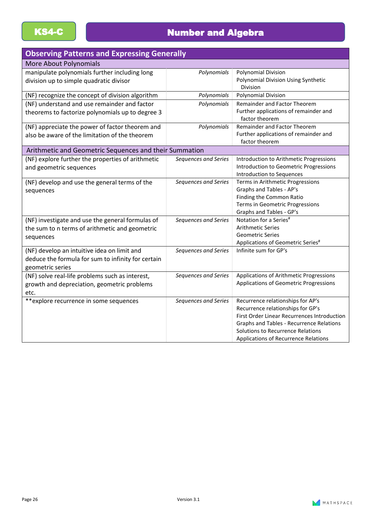## KS4-C **Number and Algebra**

| <b>Observing Patterns and Expressing Generally</b>                                                                    |                      |                                                                                                                                                                                                                                                              |
|-----------------------------------------------------------------------------------------------------------------------|----------------------|--------------------------------------------------------------------------------------------------------------------------------------------------------------------------------------------------------------------------------------------------------------|
| <b>More About Polynomials</b>                                                                                         |                      |                                                                                                                                                                                                                                                              |
| manipulate polynomials further including long<br>division up to simple quadratic divisor                              | Polynomials          | <b>Polynomial Division</b><br>Polynomial Division Using Synthetic<br>Division                                                                                                                                                                                |
| (NF) recognize the concept of division algorithm                                                                      | Polynomials          | <b>Polynomial Division</b>                                                                                                                                                                                                                                   |
| (NF) understand and use remainder and factor<br>theorems to factorize polynomials up to degree 3                      | Polynomials          | <b>Remainder and Factor Theorem</b><br>Further applications of remainder and<br>factor theorem                                                                                                                                                               |
| (NF) appreciate the power of factor theorem and<br>also be aware of the limitation of the theorem                     | Polynomials          | Remainder and Factor Theorem<br>Further applications of remainder and<br>factor theorem                                                                                                                                                                      |
| Arithmetic and Geometric Sequences and their Summation                                                                |                      |                                                                                                                                                                                                                                                              |
| (NF) explore further the properties of arithmetic<br>and geometric sequences                                          | Sequences and Series | Introduction to Arithmetic Progressions<br>Introduction to Geometric Progressions<br>Introduction to Sequences                                                                                                                                               |
| (NF) develop and use the general terms of the<br>sequences                                                            | Sequences and Series | Terms in Arithmetic Progressions<br>Graphs and Tables - AP's<br>Finding the Common Ratio<br>Terms in Geometric Progressions<br>Graphs and Tables - GP's                                                                                                      |
| (NF) investigate and use the general formulas of<br>the sum to n terms of arithmetic and geometric<br>sequences       | Sequences and Series | Notation for a Series <sup>#</sup><br><b>Arithmetic Series</b><br><b>Geometric Series</b><br>Applications of Geometric Series <sup>#</sup>                                                                                                                   |
| (NF) develop an intuitive idea on limit and<br>deduce the formula for sum to infinity for certain<br>geometric series | Sequences and Series | Infinite sum for GP's                                                                                                                                                                                                                                        |
| (NF) solve real-life problems such as interest,<br>growth and depreciation, geometric problems<br>etc.                | Sequences and Series | Applications of Arithmetic Progressions<br>Applications of Geometric Progressions                                                                                                                                                                            |
| **explore recurrence in some sequences                                                                                | Sequences and Series | Recurrence relationships for AP's<br>Recurrence relationships for GP's<br>First Order Linear Recurrences Introduction<br><b>Graphs and Tables - Recurrence Relations</b><br>Solutions to Recurrence Relations<br><b>Applications of Recurrence Relations</b> |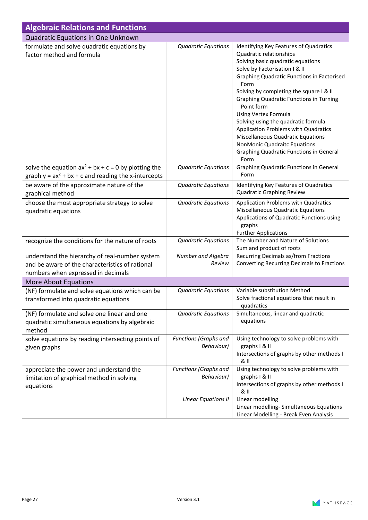| <b>Algebraic Relations and Functions</b>                                                                                                |                                            |                                                                                                                                                                                                                                                                                                                                                                                                                                                                                                                                                              |
|-----------------------------------------------------------------------------------------------------------------------------------------|--------------------------------------------|--------------------------------------------------------------------------------------------------------------------------------------------------------------------------------------------------------------------------------------------------------------------------------------------------------------------------------------------------------------------------------------------------------------------------------------------------------------------------------------------------------------------------------------------------------------|
| Quadratic Equations in One Unknown                                                                                                      |                                            |                                                                                                                                                                                                                                                                                                                                                                                                                                                                                                                                                              |
| formulate and solve quadratic equations by<br>factor method and formula                                                                 | <b>Quadratic Equations</b>                 | Identifying Key Features of Quadratics<br>Quadratic relationships<br>Solving basic quadratic equations<br>Solve by Factorisation I & II<br><b>Graphing Quadratic Functions in Factorised</b><br>Form<br>Solving by completing the square I & II<br><b>Graphing Quadratic Functions in Turning</b><br>Point form<br><b>Using Vertex Formula</b><br>Solving using the quadratic formula<br>Application Problems with Quadratics<br>Miscellaneous Quadratic Equations<br>NonMonic Quadraitc Equations<br><b>Graphing Quadratic Functions in General</b><br>Form |
| solve the equation $ax^2 + bx + c = 0$ by plotting the<br>graph $y = ax^2 + bx + c$ and reading the x-intercepts                        | <b>Quadratic Equations</b>                 | <b>Graphing Quadratic Functions in General</b><br>Form                                                                                                                                                                                                                                                                                                                                                                                                                                                                                                       |
| be aware of the approximate nature of the                                                                                               | <b>Quadratic Equations</b>                 | Identifying Key Features of Quadratics                                                                                                                                                                                                                                                                                                                                                                                                                                                                                                                       |
| graphical method                                                                                                                        |                                            | <b>Quadratic Graphing Review</b>                                                                                                                                                                                                                                                                                                                                                                                                                                                                                                                             |
| choose the most appropriate strategy to solve<br>quadratic equations                                                                    | <b>Quadratic Equations</b>                 | Application Problems with Quadratics<br>Miscellaneous Quadratic Equations<br>Applications of Quadratic Functions using<br>graphs<br><b>Further Applications</b>                                                                                                                                                                                                                                                                                                                                                                                              |
| recognize the conditions for the nature of roots                                                                                        | <b>Quadratic Equations</b>                 | The Number and Nature of Solutions<br>Sum and product of roots                                                                                                                                                                                                                                                                                                                                                                                                                                                                                               |
| understand the hierarchy of real-number system<br>and be aware of the characteristics of rational<br>numbers when expressed in decimals | Number and Algebra<br>Review               | Recurring Decimals as/from Fractions<br>Converting Recurring Decimals to Fractions                                                                                                                                                                                                                                                                                                                                                                                                                                                                           |
| More About Equations                                                                                                                    |                                            |                                                                                                                                                                                                                                                                                                                                                                                                                                                                                                                                                              |
| (NF) formulate and solve equations which can be<br>transformed into quadratic equations                                                 | <b>Quadratic Equations</b>                 | Variable substitution Method<br>Solve fractional equations that result in<br>quadratics                                                                                                                                                                                                                                                                                                                                                                                                                                                                      |
| (NF) formulate and solve one linear and one<br>quadratic simultaneous equations by algebraic<br>method                                  | <b>Quadratic Equations</b>                 | Simultaneous, linear and quadratic<br>equations                                                                                                                                                                                                                                                                                                                                                                                                                                                                                                              |
| solve equations by reading intersecting points of<br>given graphs                                                                       | <b>Functions (Graphs and</b><br>Behaviour) | Using technology to solve problems with<br>graphs   & II<br>Intersections of graphs by other methods I<br>& II                                                                                                                                                                                                                                                                                                                                                                                                                                               |
| appreciate the power and understand the<br>limitation of graphical method in solving<br>equations                                       | Functions (Graphs and<br>Behaviour)        | Using technology to solve problems with<br>graphs   & II<br>Intersections of graphs by other methods I<br>& II                                                                                                                                                                                                                                                                                                                                                                                                                                               |
|                                                                                                                                         | Linear Equations II                        | Linear modelling<br>Linear modelling-Simultaneous Equations<br>Linear Modelling - Break Even Analysis                                                                                                                                                                                                                                                                                                                                                                                                                                                        |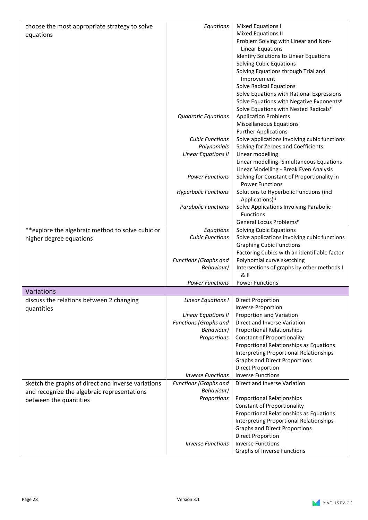| choose the most appropriate strategy to solve      | Equations                              | Mixed Equations I                                                |
|----------------------------------------------------|----------------------------------------|------------------------------------------------------------------|
| equations                                          |                                        | <b>Mixed Equations II</b>                                        |
|                                                    |                                        | Problem Solving with Linear and Non-                             |
|                                                    |                                        | <b>Linear Equations</b>                                          |
|                                                    |                                        | Identify Solutions to Linear Equations                           |
|                                                    |                                        | <b>Solving Cubic Equations</b>                                   |
|                                                    |                                        | Solving Equations through Trial and                              |
|                                                    |                                        | Improvement                                                      |
|                                                    |                                        | <b>Solve Radical Equations</b>                                   |
|                                                    |                                        | Solve Equations with Rational Expressions                        |
|                                                    |                                        | Solve Equations with Negative Exponents#                         |
|                                                    |                                        | Solve Equations with Nested Radicals#                            |
|                                                    | <b>Quadratic Equations</b>             | <b>Application Problems</b>                                      |
|                                                    |                                        | <b>Miscellaneous Equations</b>                                   |
|                                                    |                                        | <b>Further Applications</b>                                      |
|                                                    | <b>Cubic Functions</b>                 | Solve applications involving cubic functions                     |
|                                                    | Polynomials                            | Solving for Zeroes and Coefficients                              |
|                                                    | <b>Linear Equations II</b>             | Linear modelling                                                 |
|                                                    |                                        | Linear modelling-Simultaneous Equations                          |
|                                                    |                                        | Linear Modelling - Break Even Analysis                           |
|                                                    | <b>Power Functions</b>                 | Solving for Constant of Proportionality in                       |
|                                                    |                                        | <b>Power Functions</b>                                           |
|                                                    | <b>Hyperbolic Functions</b>            | Solutions to Hyperbolic Functions (incl                          |
|                                                    |                                        | Applications)#                                                   |
|                                                    | <b>Parabolic Functions</b>             | Solve Applications Involving Parabolic                           |
|                                                    |                                        | <b>Functions</b>                                                 |
|                                                    |                                        | General Locus Problems <sup>#</sup>                              |
| **explore the algebraic method to solve cubic or   | Equations                              | Solving Cubic Equations                                          |
| higher degree equations                            | <b>Cubic Functions</b>                 | Solve applications involving cubic functions                     |
|                                                    |                                        | <b>Graphing Cubic Functions</b>                                  |
|                                                    |                                        | Factoring Cubics with an identifiable factor                     |
|                                                    | Functions (Graphs and                  | Polynomial curve sketching                                       |
|                                                    | Behaviour)                             | Intersections of graphs by other methods I                       |
|                                                    | <b>Power Functions</b>                 | & II                                                             |
|                                                    |                                        | <b>Power Functions</b>                                           |
| Variations                                         |                                        |                                                                  |
| discuss the relations between 2 changing           | Linear Equations I   Direct Proportion |                                                                  |
| quantities                                         |                                        | <b>Inverse Proportion</b>                                        |
|                                                    | Linear Equations II                    | Proportion and Variation                                         |
|                                                    | Functions (Graphs and                  | Direct and Inverse Variation                                     |
|                                                    | <b>Behaviour)</b>                      | <b>Proportional Relationships</b>                                |
|                                                    | Proportions                            | <b>Constant of Proportionality</b>                               |
|                                                    |                                        | Proportional Relationships as Equations                          |
|                                                    |                                        | <b>Interpreting Proportional Relationships</b>                   |
|                                                    |                                        | <b>Graphs and Direct Proportions</b><br><b>Direct Proportion</b> |
|                                                    | <b>Inverse Functions</b>               | <b>Inverse Functions</b>                                         |
| sketch the graphs of direct and inverse variations | <b>Functions (Graphs and</b>           | Direct and Inverse Variation                                     |
|                                                    | Behaviour)                             |                                                                  |
| and recognize the algebraic representations        | Proportions                            | <b>Proportional Relationships</b>                                |
| between the quantities                             |                                        | <b>Constant of Proportionality</b>                               |
|                                                    |                                        | Proportional Relationships as Equations                          |
|                                                    |                                        | <b>Interpreting Proportional Relationships</b>                   |
|                                                    |                                        | <b>Graphs and Direct Proportions</b>                             |
|                                                    |                                        | <b>Direct Proportion</b>                                         |
|                                                    | <b>Inverse Functions</b>               | <b>Inverse Functions</b>                                         |
|                                                    |                                        | <b>Graphs of Inverse Functions</b>                               |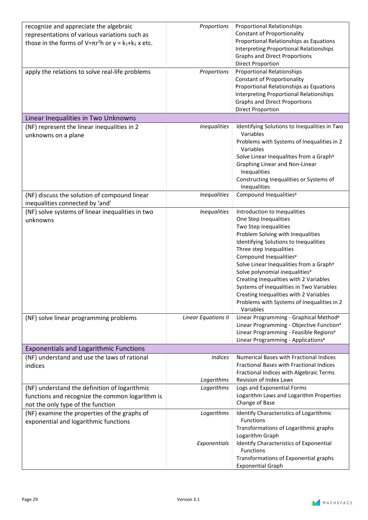| recognize and appreciate the algebraic<br>representations of various variations such as          | Proportions                | <b>Proportional Relationships</b><br><b>Constant of Proportionality</b>                |
|--------------------------------------------------------------------------------------------------|----------------------------|----------------------------------------------------------------------------------------|
| those in the forms of $V=\pi r^2 h$ or $y = k_1 + k_2 x$ etc.                                    |                            | Proportional Relationships as Equations                                                |
|                                                                                                  |                            | <b>Interpreting Proportional Relationships</b><br><b>Graphs and Direct Proportions</b> |
|                                                                                                  |                            | <b>Direct Proportion</b>                                                               |
| apply the relations to solve real-life problems                                                  | Proportions                | <b>Proportional Relationships</b>                                                      |
|                                                                                                  |                            | <b>Constant of Proportionality</b>                                                     |
|                                                                                                  |                            | Proportional Relationships as Equations                                                |
|                                                                                                  |                            | <b>Interpreting Proportional Relationships</b>                                         |
|                                                                                                  |                            | <b>Graphs and Direct Proportions</b>                                                   |
|                                                                                                  |                            | <b>Direct Proportion</b>                                                               |
| Linear Inequalities in Two Unknowns                                                              |                            |                                                                                        |
| (NF) represent the linear inequalities in 2<br>unknowns on a plane                               | <b>Inequalities</b>        | Identifying Solutions to Inequalities in Two<br>Variables                              |
|                                                                                                  |                            | Problems with Systems of Inequalities in 2<br>Variables                                |
|                                                                                                  |                            | Solve Linear Inequalities from a Graph#                                                |
|                                                                                                  |                            | Graphing Linear and Non-Linear                                                         |
|                                                                                                  |                            | Inequalities                                                                           |
|                                                                                                  |                            | Constructing Inequalities or Systems of                                                |
|                                                                                                  |                            | Inequalities                                                                           |
| (NF) discuss the solution of compound linear<br>inequalities connected by 'and'                  | <b>Inequalities</b>        | Compound Inequalities#                                                                 |
| (NF) solve systems of linear inequalities in two                                                 | <b>Inequalities</b>        | Introduction to Inequalities                                                           |
| unknowns                                                                                         |                            | One Step Inequalities                                                                  |
|                                                                                                  |                            | Two Step inequalities                                                                  |
|                                                                                                  |                            | Problem Solving with Inequalities                                                      |
|                                                                                                  |                            | Identifying Solutions to Inequalities                                                  |
|                                                                                                  |                            | Three step Inequalities                                                                |
|                                                                                                  |                            | Compound Inequalities#                                                                 |
|                                                                                                  |                            | Solve Linear Inequalities from a Graph#                                                |
|                                                                                                  |                            | Solve polynomial inequalities#                                                         |
|                                                                                                  |                            | Creating Inequalities with 2 Variables<br>Systems of Inequalities in Two Variables     |
|                                                                                                  |                            | Creating Inequalities with 2 Variables                                                 |
|                                                                                                  |                            | Problems with Systems of Inequalities in 2                                             |
|                                                                                                  |                            | Variables                                                                              |
| (NF) solve linear programming problems                                                           | <b>Linear Equations II</b> | Linear Programming - Graphical Method#                                                 |
|                                                                                                  |                            | Linear Programming - Objective Function#                                               |
|                                                                                                  |                            | Linear Programming - Feasible Regions#                                                 |
|                                                                                                  |                            | Linear Programming - Applications#                                                     |
| <b>Exponentials and Logarithmic Functions</b>                                                    |                            |                                                                                        |
| (NF) understand and use the laws of rational                                                     | <b>Indices</b>             | <b>Numerical Bases with Fractional Indices</b>                                         |
| indices                                                                                          |                            | Fractional Bases with Fractional Indices                                               |
|                                                                                                  |                            | Fractional Indices with Algebraic Terms<br>Revision of Index Laws                      |
|                                                                                                  | Logarithms<br>Logarithms   | Logs and Exponential Forms                                                             |
| (NF) understand the definition of logarithmic<br>functions and recognize the common logarithm is |                            | Logarithm Laws and Logarithm Properties                                                |
| not the only type of the function                                                                |                            | Change of Base                                                                         |
| (NF) examine the properties of the graphs of                                                     | Logarithms                 | Identify Characteristics of Logarithmic                                                |
| exponential and logarithmic functions                                                            |                            | Functions                                                                              |
|                                                                                                  |                            | Transformations of Logarithmic graphs                                                  |
|                                                                                                  |                            | Logarithm Graph                                                                        |
|                                                                                                  | Exponentials               | <b>Identify Characteristics of Exponential</b>                                         |
|                                                                                                  |                            | <b>Functions</b>                                                                       |
|                                                                                                  |                            | Transformations of Exponential graphs                                                  |
|                                                                                                  |                            | <b>Exponential Graph</b>                                                               |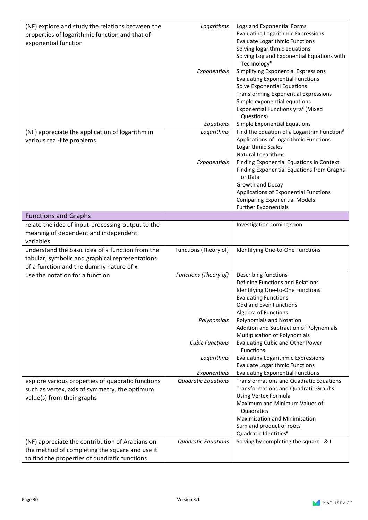| (NF) explore and study the relations between the<br>properties of logarithmic function and that of | Logarithms                 | Logs and Exponential Forms<br><b>Evaluating Logarithmic Expressions</b><br><b>Evaluate Logarithmic Functions</b> |
|----------------------------------------------------------------------------------------------------|----------------------------|------------------------------------------------------------------------------------------------------------------|
| exponential function                                                                               |                            | Solving logarithmic equations<br>Solving Log and Exponential Equations with                                      |
|                                                                                                    |                            | Technology <sup>#</sup>                                                                                          |
|                                                                                                    | Exponentials               | Simplifying Exponential Expressions                                                                              |
|                                                                                                    |                            | <b>Evaluating Exponential Functions</b>                                                                          |
|                                                                                                    |                            | <b>Solve Exponential Equations</b>                                                                               |
|                                                                                                    |                            | <b>Transforming Exponential Expressions</b>                                                                      |
|                                                                                                    |                            | Simple exponential equations                                                                                     |
|                                                                                                    |                            | Exponential Functions y=a <sup>x</sup> (Mixed                                                                    |
|                                                                                                    | Equations                  | Questions)<br>Simple Exponential Equations                                                                       |
| (NF) appreciate the application of logarithm in                                                    | Logarithms                 | Find the Equation of a Logarithm Function <sup>#</sup>                                                           |
| various real-life problems                                                                         |                            | Applications of Logarithmic Functions                                                                            |
|                                                                                                    |                            | Logarithmic Scales                                                                                               |
|                                                                                                    |                            | Natural Logarithms                                                                                               |
|                                                                                                    | Exponentials               | Finding Exponential Equations in Context                                                                         |
|                                                                                                    |                            | Finding Exponential Equations from Graphs                                                                        |
|                                                                                                    |                            | or Data                                                                                                          |
|                                                                                                    |                            | Growth and Decay                                                                                                 |
|                                                                                                    |                            | Applications of Exponential Functions<br><b>Comparing Exponential Models</b>                                     |
|                                                                                                    |                            | <b>Further Exponentials</b>                                                                                      |
| <b>Functions and Graphs</b>                                                                        |                            |                                                                                                                  |
| relate the idea of input-processing-output to the                                                  |                            | Investigation coming soon                                                                                        |
| meaning of dependent and independent                                                               |                            |                                                                                                                  |
| variables                                                                                          |                            |                                                                                                                  |
| understand the basic idea of a function from the                                                   | Functions (Theory of)      | Identifying One-to-One Functions                                                                                 |
| tabular, symbolic and graphical representations                                                    |                            |                                                                                                                  |
| of a function and the dummy nature of x                                                            |                            |                                                                                                                  |
| use the notation for a function                                                                    | Functions (Theory of)      | <b>Describing functions</b>                                                                                      |
|                                                                                                    |                            | Defining Functions and Relations                                                                                 |
|                                                                                                    |                            | Identifying One-to-One Functions                                                                                 |
|                                                                                                    |                            | <b>Evaluating Functions</b><br>Odd and Even Functions                                                            |
|                                                                                                    |                            | Algebra of Functions                                                                                             |
|                                                                                                    | Polynomials                | <b>Polynomials and Notation</b>                                                                                  |
|                                                                                                    |                            | Addition and Subtraction of Polynomials                                                                          |
|                                                                                                    |                            | Multiplication of Polynomials                                                                                    |
|                                                                                                    | <b>Cubic Functions</b>     | <b>Evaluating Cubic and Other Power</b><br><b>Functions</b>                                                      |
|                                                                                                    | Logarithms                 | <b>Evaluating Logarithmic Expressions</b>                                                                        |
|                                                                                                    |                            | <b>Evaluate Logarithmic Functions</b>                                                                            |
|                                                                                                    | Exponentials               | <b>Evaluating Exponential Functions</b>                                                                          |
| explore various properties of quadratic functions                                                  | <b>Quadratic Equations</b> | <b>Transformations and Quadratic Equations</b>                                                                   |
| such as vertex, axis of symmetry, the optimum                                                      |                            | <b>Transformations and Quadratic Graphs</b>                                                                      |
| value(s) from their graphs                                                                         |                            | Using Vertex Formula<br>Maximum and Minimum Values of                                                            |
|                                                                                                    |                            | Quadratics                                                                                                       |
|                                                                                                    |                            | <b>Maximisation and Minimisation</b>                                                                             |
|                                                                                                    |                            | Sum and product of roots                                                                                         |
|                                                                                                    |                            | Quadratic Identities <sup>#</sup>                                                                                |
| (NF) appreciate the contribution of Arabians on                                                    | <b>Quadratic Equations</b> | Solving by completing the square I & II                                                                          |
| the method of completing the square and use it                                                     |                            |                                                                                                                  |
| to find the properties of quadratic functions                                                      |                            |                                                                                                                  |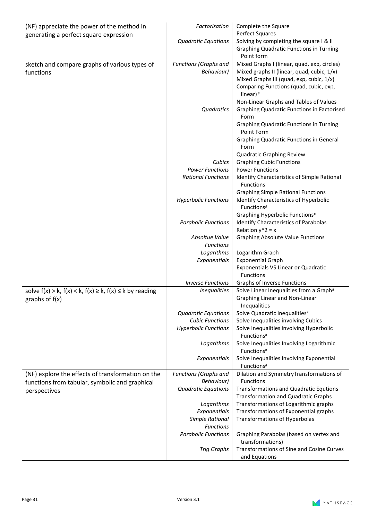| (NF) appreciate the power of the method in                             | Factorisation                       | Complete the Square                                                     |
|------------------------------------------------------------------------|-------------------------------------|-------------------------------------------------------------------------|
| generating a perfect square expression                                 |                                     | Perfect Squares                                                         |
|                                                                        | <b>Quadratic Equations</b>          | Solving by completing the square I & II                                 |
|                                                                        |                                     | <b>Graphing Quadratic Functions in Turning</b>                          |
|                                                                        |                                     | Point form                                                              |
| sketch and compare graphs of various types of                          | Functions (Graphs and               | Mixed Graphs I (linear, quad, exp, circles)                             |
| functions                                                              | Behaviour)                          | Mixed graphs II (linear, quad, cubic, 1/x)                              |
|                                                                        |                                     | Mixed Graphs III (quad, exp, cubic, 1/x)                                |
|                                                                        |                                     | Comparing Functions (quad, cubic, exp,<br>linear) <sup>#</sup>          |
|                                                                        |                                     | Non-Linear Graphs and Tables of Values                                  |
|                                                                        | Quadratics                          | <b>Graphing Quadratic Functions in Factorised</b><br>Form               |
|                                                                        |                                     | <b>Graphing Quadratic Functions in Turning</b><br>Point Form            |
|                                                                        |                                     | <b>Graphing Quadratic Functions in General</b>                          |
|                                                                        |                                     | Form                                                                    |
|                                                                        |                                     | Quadratic Graphing Review                                               |
|                                                                        | Cubics                              | <b>Graphing Cubic Functions</b>                                         |
|                                                                        | <b>Power Functions</b>              | <b>Power Functions</b>                                                  |
|                                                                        | <b>Rational Functions</b>           | Identify Characteristics of Simple Rational<br><b>Functions</b>         |
|                                                                        |                                     | <b>Graphing Simple Rational Functions</b>                               |
|                                                                        | <b>Hyperbolic Functions</b>         | <b>Identify Characteristics of Hyperbolic</b><br>Functions <sup>#</sup> |
|                                                                        |                                     | Graphing Hyperbolic Functions#                                          |
|                                                                        | <b>Parabolic Functions</b>          | Identify Characteristics of Parabolas                                   |
|                                                                        |                                     | Relation $y^2$ = x                                                      |
|                                                                        | Absoltue Value<br><b>Functions</b>  | <b>Graphing Absolute Value Functions</b>                                |
|                                                                        | Logarithms                          | Logarithm Graph                                                         |
|                                                                        | Exponentials                        | <b>Exponential Graph</b>                                                |
|                                                                        |                                     | Exponentials VS Linear or Quadratic                                     |
|                                                                        | <b>Inverse Functions</b>            | Functions<br><b>Graphs of Inverse Functions</b>                         |
| solve $f(x) > k$ , $f(x) < k$ , $f(x) \ge k$ , $f(x) \le k$ by reading | <b>Inequalities</b>                 | Solve Linear Inequalities from a Graph#                                 |
| graphs of $f(x)$                                                       |                                     | Graphing Linear and Non-Linear<br>Inequalities                          |
|                                                                        | <b>Quadratic Equations</b>          | Solve Quadratic Inequalities#                                           |
|                                                                        | <b>Cubic Functions</b>              | Solve Inequalities involving Cubics                                     |
|                                                                        | <b>Hyperbolic Functions</b>         | Solve Inequalities involving Hyperbolic<br>Functions <sup>#</sup>       |
|                                                                        | Logarithms                          | Solve Inequalities Involving Logarithmic<br>Functions <sup>#</sup>      |
|                                                                        | Exponentials                        | Solve Inequalities Involving Exponential<br>Functions <sup>#</sup>      |
| (NF) explore the effects of transformation on the                      | Functions (Graphs and               | Dilation and SymmetryTransformations of                                 |
| functions from tabular, symbolic and graphical                         | Behaviour)                          | <b>Functions</b>                                                        |
| perspectives                                                           | <b>Quadratic Equations</b>          | <b>Transformations and Quadratic Equtions</b>                           |
|                                                                        |                                     | <b>Transformation and Quadratic Graphs</b>                              |
|                                                                        | Logarithms                          | Transformations of Logarithmic graphs                                   |
|                                                                        | Exponentials                        | Transformations of Exponential graphs                                   |
|                                                                        | Simple Rational<br><b>Functions</b> | <b>Transformations of Hyperbolas</b>                                    |
|                                                                        | <b>Parabolic Functions</b>          | Graphing Parabolas (based on vertex and                                 |
|                                                                        |                                     | transformations)                                                        |
|                                                                        | <b>Trig Graphs</b>                  | Transformations of Sine and Cosine Curves                               |
|                                                                        |                                     | and Equations                                                           |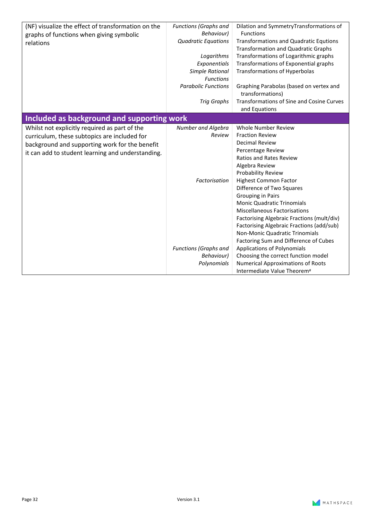| (NF) visualize the effect of transformation on the | Functions (Graphs and        | Dilation and SymmetryTransformations of       |
|----------------------------------------------------|------------------------------|-----------------------------------------------|
| graphs of functions when giving symbolic           | <b>Behaviour)</b>            | <b>Functions</b>                              |
| relations                                          | <b>Quadratic Equations</b>   | <b>Transformations and Quadratic Equtions</b> |
|                                                    |                              | <b>Transformation and Quadratic Graphs</b>    |
|                                                    | Logarithms                   | Transformations of Logarithmic graphs         |
|                                                    | Exponentials                 | Transformations of Exponential graphs         |
|                                                    | <b>Simple Rational</b>       | <b>Transformations of Hyperbolas</b>          |
|                                                    | <b>Functions</b>             |                                               |
|                                                    | <b>Parabolic Functions</b>   | Graphing Parabolas (based on vertex and       |
|                                                    |                              | transformations)                              |
|                                                    | <b>Trig Graphs</b>           | Transformations of Sine and Cosine Curves     |
|                                                    |                              | and Equations                                 |
| Included as background and supporting work         |                              |                                               |
|                                                    | Number and Algebra           | <b>Whole Number Review</b>                    |
| Whilst not explicitly required as part of the      | Review                       | <b>Fraction Review</b>                        |
| curriculum, these subtopics are included for       |                              | <b>Decimal Review</b>                         |
| background and supporting work for the benefit     |                              |                                               |
| it can add to student learning and understanding.  |                              | Percentage Review                             |
|                                                    |                              | <b>Ratios and Rates Review</b>                |
|                                                    |                              | Algebra Review                                |
|                                                    |                              | Probability Review                            |
|                                                    | Factorisation                | <b>Highest Common Factor</b>                  |
|                                                    |                              | Difference of Two Squares                     |
|                                                    |                              | <b>Grouping in Pairs</b>                      |
|                                                    |                              | <b>Monic Quadratic Trinomials</b>             |
|                                                    |                              | <b>Miscellaneous Factorisations</b>           |
|                                                    |                              | Factorising Algebraic Fractions (mult/div)    |
|                                                    |                              | Factorising Algebraic Fractions (add/sub)     |
|                                                    |                              | Non-Monic Quadratic Trinomials                |
|                                                    |                              | Factoring Sum and Difference of Cubes         |
|                                                    | <b>Functions (Graphs and</b> | <b>Applications of Polynomials</b>            |
|                                                    | Behaviour)                   | Choosing the correct function model           |
|                                                    | Polynomials                  | <b>Numerical Approximations of Roots</b>      |
|                                                    |                              | Intermediate Value Theorem <sup>#</sup>       |

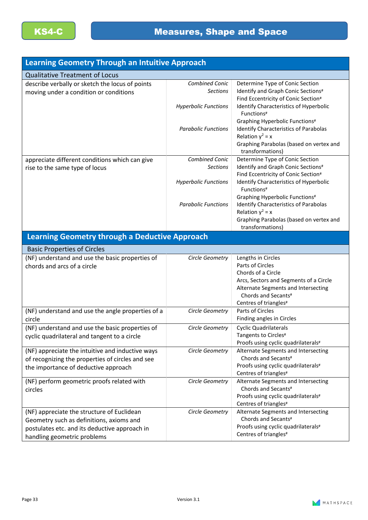| <b>Learning Geometry Through an Intuitive Approach</b>                                    |                                                                         |                                                                                                                                                        |
|-------------------------------------------------------------------------------------------|-------------------------------------------------------------------------|--------------------------------------------------------------------------------------------------------------------------------------------------------|
| <b>Qualitative Treatment of Locus</b>                                                     |                                                                         |                                                                                                                                                        |
| describe verbally or sketch the locus of points<br>moving under a condition or conditions | <b>Combined Conic</b><br><b>Sections</b><br><b>Hyperbolic Functions</b> | Determine Type of Conic Section<br>Identify and Graph Conic Sections#<br>Find Eccentricity of Conic Section#<br>Identify Characteristics of Hyperbolic |
|                                                                                           | <b>Parabolic Functions</b>                                              | Functions <sup>#</sup><br>Graphing Hyperbolic Functions#<br><b>Identify Characteristics of Parabolas</b>                                               |
|                                                                                           |                                                                         | Relation $y^2 = x$<br>Graphing Parabolas (based on vertex and<br>transformations)                                                                      |
| appreciate different conditions which can give<br>rise to the same type of locus          | <b>Combined Conic</b><br><b>Sections</b>                                | Determine Type of Conic Section<br>Identify and Graph Conic Sections#<br>Find Eccentricity of Conic Section#                                           |
|                                                                                           | <b>Hyperbolic Functions</b>                                             | Identify Characteristics of Hyperbolic<br>Functions <sup>#</sup>                                                                                       |
|                                                                                           | <b>Parabolic Functions</b>                                              | Graphing Hyperbolic Functions#<br><b>Identify Characteristics of Parabolas</b><br>Relation $y^2 = x$<br>Graphing Parabolas (based on vertex and        |
|                                                                                           |                                                                         | transformations)                                                                                                                                       |
| <b>Learning Geometry through a Deductive Approach</b>                                     |                                                                         |                                                                                                                                                        |
| <b>Basic Properties of Circles</b>                                                        |                                                                         |                                                                                                                                                        |
| (NF) understand and use the basic properties of                                           | Circle Geometry                                                         | Lengths in Circles                                                                                                                                     |
| chords and arcs of a circle                                                               |                                                                         | Parts of Circles                                                                                                                                       |
|                                                                                           |                                                                         | Chords of a Circle                                                                                                                                     |
|                                                                                           |                                                                         | Arcs, Sectors and Segments of a Circle                                                                                                                 |
|                                                                                           |                                                                         | Alternate Segments and Intersecting                                                                                                                    |
|                                                                                           |                                                                         | Chords and Secants#                                                                                                                                    |
|                                                                                           | Circle Geometry                                                         | Centres of triangles <sup>#</sup><br>Parts of Circles                                                                                                  |
| (NF) understand and use the angle properties of a                                         |                                                                         | Finding angles in Circles                                                                                                                              |
| circle<br>(NF) understand and use the basic properties of                                 | Circle Geometry                                                         | <b>Cyclic Quadrilaterals</b>                                                                                                                           |
| cyclic quadrilateral and tangent to a circle                                              |                                                                         | Tangents to Circles#                                                                                                                                   |
|                                                                                           |                                                                         | Proofs using cyclic quadrilaterals#                                                                                                                    |
| (NF) appreciate the intuitive and inductive ways                                          | Circle Geometry                                                         | Alternate Segments and Intersecting                                                                                                                    |
| of recognizing the properties of circles and see                                          |                                                                         | Chords and Secants#                                                                                                                                    |
| the importance of deductive approach                                                      |                                                                         | Proofs using cyclic quadrilaterals#                                                                                                                    |
|                                                                                           |                                                                         | Centres of triangles <sup>#</sup>                                                                                                                      |
| (NF) perform geometric proofs related with                                                | Circle Geometry                                                         | Alternate Segments and Intersecting                                                                                                                    |
| circles                                                                                   |                                                                         | Chords and Secants#                                                                                                                                    |
|                                                                                           |                                                                         | Proofs using cyclic quadrilaterals#<br>Centres of triangles#                                                                                           |
| (NF) appreciate the structure of Euclidean                                                | Circle Geometry                                                         | Alternate Segments and Intersecting                                                                                                                    |
| Geometry such as definitions, axioms and                                                  |                                                                         | Chords and Secants#                                                                                                                                    |
| postulates etc. and its deductive approach in                                             |                                                                         | Proofs using cyclic quadrilaterals#                                                                                                                    |
| handling geometric problems                                                               |                                                                         | Centres of triangles <sup>#</sup>                                                                                                                      |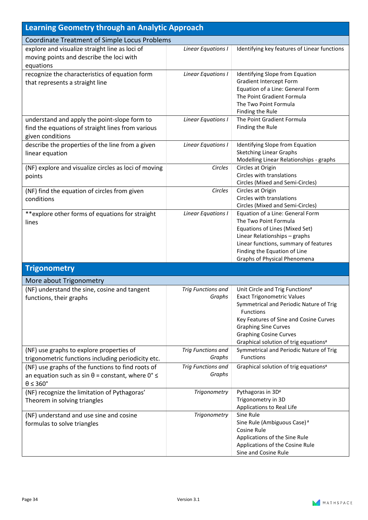| <b>Learning Geometry through an Analytic Approach</b>                                                                                              |                                     |                                                                                                                                                                                                                                                                                        |
|----------------------------------------------------------------------------------------------------------------------------------------------------|-------------------------------------|----------------------------------------------------------------------------------------------------------------------------------------------------------------------------------------------------------------------------------------------------------------------------------------|
| Coordinate Treatment of Simple Locus Problems                                                                                                      |                                     |                                                                                                                                                                                                                                                                                        |
| explore and visualize straight line as loci of<br>moving points and describe the loci with<br>equations                                            | Linear Equations I                  | Identifying key features of Linear functions                                                                                                                                                                                                                                           |
| recognize the characteristics of equation form<br>that represents a straight line                                                                  | Linear Equations I                  | Identifying Slope from Equation<br><b>Gradient Intercept Form</b><br>Equation of a Line: General Form<br>The Point Gradient Formula<br>The Two Point Formula<br>Finding the Rule                                                                                                       |
| understand and apply the point-slope form to<br>find the equations of straight lines from various<br>given conditions                              | <b>Linear Equations I</b>           | The Point Gradient Formula<br>Finding the Rule                                                                                                                                                                                                                                         |
| describe the properties of the line from a given<br>linear equation                                                                                | Linear Equations I                  | Identifying Slope from Equation<br><b>Sketching Linear Graphs</b><br>Modelling Linear Relationships - graphs                                                                                                                                                                           |
| (NF) explore and visualize circles as loci of moving<br>points                                                                                     | Circles                             | Circles at Origin<br>Circles with translations<br>Circles (Mixed and Semi-Circles)                                                                                                                                                                                                     |
| (NF) find the equation of circles from given<br>conditions                                                                                         | Circles                             | Circles at Origin<br>Circles with translations<br>Circles (Mixed and Semi-Circles)                                                                                                                                                                                                     |
| **explore other forms of equations for straight<br>lines                                                                                           | Linear Equations I                  | Equation of a Line: General Form<br>The Two Point Formula<br>Equations of Lines (Mixed Set)<br>Linear Relationships - graphs<br>Linear functions, summary of features<br>Finding the Equation of Line<br>Graphs of Physical Phenomena                                                  |
| <b>Trigonometry</b>                                                                                                                                |                                     |                                                                                                                                                                                                                                                                                        |
| More about Trigonometry                                                                                                                            |                                     |                                                                                                                                                                                                                                                                                        |
| (NF) understand the sine, cosine and tangent<br>functions, their graphs                                                                            | <b>Trig Functions and</b><br>Graphs | Unit Circle and Trig Functions#<br><b>Exact Trigonometric Values</b><br>Symmetrical and Periodic Nature of Trig<br><b>Functions</b><br>Key Features of Sine and Cosine Curves<br><b>Graphing Sine Curves</b><br><b>Graphing Cosine Curves</b><br>Graphical solution of trig equations# |
| (NF) use graphs to explore properties of<br>trigonometric functions including periodicity etc.                                                     | <b>Trig Functions and</b><br>Graphs | Symmetrical and Periodic Nature of Trig<br><b>Functions</b>                                                                                                                                                                                                                            |
| (NF) use graphs of the functions to find roots of<br>an equation such as sin $\theta$ = constant, where $0^{\circ} \le$<br>$\theta \leq 360^\circ$ | <b>Trig Functions and</b><br>Graphs | Graphical solution of trig equations#                                                                                                                                                                                                                                                  |
| (NF) recognize the limitation of Pythagoras'<br>Theorem in solving triangles                                                                       | Trigonometry                        | Pythagoras in 3D#<br>Trigonometry in 3D<br>Applications to Real Life                                                                                                                                                                                                                   |
| (NF) understand and use sine and cosine<br>formulas to solve triangles                                                                             | Trigonometry                        | Sine Rule<br>Sine Rule (Ambiguous Case) <sup>#</sup><br><b>Cosine Rule</b><br>Applications of the Sine Rule<br>Applications of the Cosine Rule<br>Sine and Cosine Rule                                                                                                                 |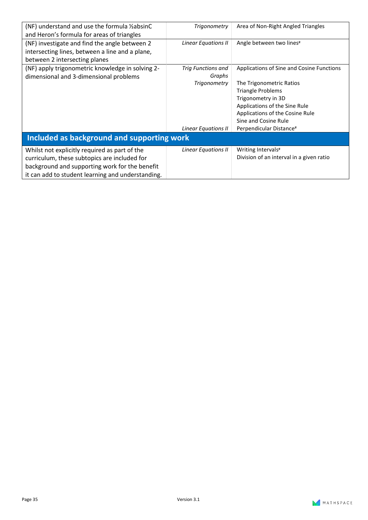| (NF) understand and use the formula 1/2 absinC<br>and Heron's formula for areas of triangles | Trigonometry              | Area of Non-Right Angled Triangles        |
|----------------------------------------------------------------------------------------------|---------------------------|-------------------------------------------|
| (NF) investigate and find the angle between 2                                                | Linear Equations II       | Angle between two lines#                  |
| intersecting lines, between a line and a plane,                                              |                           |                                           |
| between 2 intersecting planes                                                                |                           |                                           |
| (NF) apply trigonometric knowledge in solving 2-                                             | <b>Trig Functions and</b> | Applications of Sine and Cosine Functions |
| dimensional and 3-dimensional problems                                                       | Graphs                    |                                           |
|                                                                                              | <b>Trigonometry</b>       | The Trigonometric Ratios                  |
|                                                                                              |                           | <b>Triangle Problems</b>                  |
|                                                                                              |                           | Trigonometry in 3D                        |
|                                                                                              |                           | Applications of the Sine Rule             |
|                                                                                              |                           | Applications of the Cosine Rule           |
|                                                                                              |                           | Sine and Cosine Rule                      |
|                                                                                              | Linear Equations II       | Perpendicular Distance#                   |
| Included as background and supporting work                                                   |                           |                                           |
| Whilst not explicitly required as part of the                                                | Linear Equations II       | Writing Intervals#                        |
| curriculum, these subtopics are included for                                                 |                           | Division of an interval in a given ratio  |
| background and supporting work for the benefit                                               |                           |                                           |
| it can add to student learning and understanding.                                            |                           |                                           |

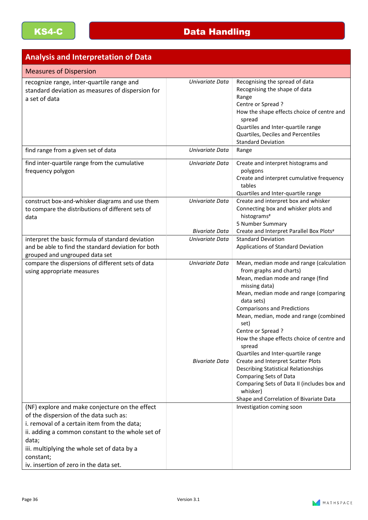#### **Analysis and Interpretation of Data**

| <b>Measures of Dispersion</b>                                                                                                                                                                                                                            |                                          |                                                                                                                                                                                                                                                                                                                                                                                                                                                                                                                                                                        |
|----------------------------------------------------------------------------------------------------------------------------------------------------------------------------------------------------------------------------------------------------------|------------------------------------------|------------------------------------------------------------------------------------------------------------------------------------------------------------------------------------------------------------------------------------------------------------------------------------------------------------------------------------------------------------------------------------------------------------------------------------------------------------------------------------------------------------------------------------------------------------------------|
| recognize range, inter-quartile range and<br>standard deviation as measures of dispersion for<br>a set of data                                                                                                                                           | Univariate Data                          | Recognising the spread of data<br>Recognising the shape of data<br>Range<br>Centre or Spread?<br>How the shape effects choice of centre and<br>spread<br>Quartiles and Inter-quartile range<br>Quartiles, Deciles and Percentiles<br><b>Standard Deviation</b>                                                                                                                                                                                                                                                                                                         |
| find range from a given set of data                                                                                                                                                                                                                      | Univariate Data                          | Range                                                                                                                                                                                                                                                                                                                                                                                                                                                                                                                                                                  |
| find inter-quartile range from the cumulative<br>frequency polygon                                                                                                                                                                                       | Univariate Data                          | Create and interpret histograms and<br>polygons<br>Create and interpret cumulative frequency<br>tables<br>Quartiles and Inter-quartile range                                                                                                                                                                                                                                                                                                                                                                                                                           |
| construct box-and-whisker diagrams and use them<br>to compare the distributions of different sets of<br>data                                                                                                                                             | Univariate Data<br><b>Bivariate Data</b> | Create and interpret box and whisker<br>Connecting box and whisker plots and<br>histograms#<br>5 Number Summary<br>Create and Interpret Parallel Box Plots#                                                                                                                                                                                                                                                                                                                                                                                                            |
| interpret the basic formula of standard deviation<br>and be able to find the standard deviation for both<br>grouped and ungrouped data set                                                                                                               | Univariate Data                          | <b>Standard Deviation</b><br>Applications of Standard Deviation                                                                                                                                                                                                                                                                                                                                                                                                                                                                                                        |
| compare the dispersions of different sets of data<br>using appropriate measures                                                                                                                                                                          | Univariate Data<br><b>Bivariate Data</b> | Mean, median mode and range (calculation<br>from graphs and charts)<br>Mean, median mode and range (find<br>missing data)<br>Mean, median mode and range (comparing<br>data sets)<br><b>Comparisons and Predictions</b><br>Mean, median, mode and range (combined<br>set)<br>Centre or Spread?<br>How the shape effects choice of centre and<br>spread<br>Quartiles and Inter-quartile range<br>Create and Interpret Scatter Plots<br><b>Describing Statistical Relationships</b><br>Comparing Sets of Data<br>Comparing Sets of Data II (includes box and<br>whisker) |
| (NF) explore and make conjecture on the effect                                                                                                                                                                                                           |                                          | Shape and Correlation of Bivariate Data<br>Investigation coming soon                                                                                                                                                                                                                                                                                                                                                                                                                                                                                                   |
| of the dispersion of the data such as:<br>i. removal of a certain item from the data;<br>ii. adding a common constant to the whole set of<br>data;<br>iii. multiplying the whole set of data by a<br>constant;<br>iv. insertion of zero in the data set. |                                          |                                                                                                                                                                                                                                                                                                                                                                                                                                                                                                                                                                        |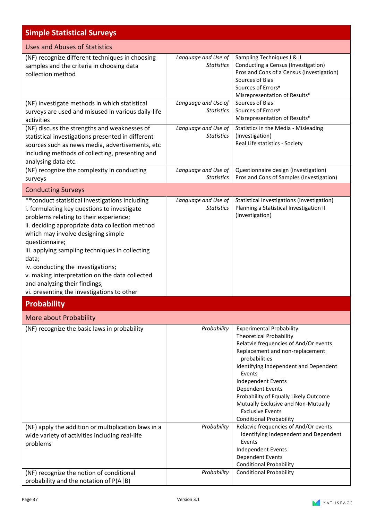| <b>Simple Statistical Surveys</b>                                                                                                                                                                                                                                                                                                                                                                                                                                                      |                                          |                                                                                                                                                                                                                                                                                                                                                                                                                        |
|----------------------------------------------------------------------------------------------------------------------------------------------------------------------------------------------------------------------------------------------------------------------------------------------------------------------------------------------------------------------------------------------------------------------------------------------------------------------------------------|------------------------------------------|------------------------------------------------------------------------------------------------------------------------------------------------------------------------------------------------------------------------------------------------------------------------------------------------------------------------------------------------------------------------------------------------------------------------|
| Uses and Abuses of Statistics                                                                                                                                                                                                                                                                                                                                                                                                                                                          |                                          |                                                                                                                                                                                                                                                                                                                                                                                                                        |
| (NF) recognize different techniques in choosing<br>samples and the criteria in choosing data<br>collection method                                                                                                                                                                                                                                                                                                                                                                      | Language and Use of<br><b>Statistics</b> | Sampling Techniques I & II<br>Conducting a Census (Investigation)<br>Pros and Cons of a Census (Investigation)<br>Sources of Bias<br>Sources of Errors#<br>Misrepresentation of Results#                                                                                                                                                                                                                               |
| (NF) investigate methods in which statistical<br>surveys are used and misused in various daily-life<br>activities                                                                                                                                                                                                                                                                                                                                                                      | Language and Use of<br><b>Statistics</b> | Sources of Bias<br>Sources of Errors#<br>Misrepresentation of Results#                                                                                                                                                                                                                                                                                                                                                 |
| (NF) discuss the strengths and weaknesses of<br>statistical investigations presented in different<br>sources such as news media, advertisements, etc<br>including methods of collecting, presenting and<br>analysing data etc.                                                                                                                                                                                                                                                         | Language and Use of<br><b>Statistics</b> | Statistics in the Media - Misleading<br>(Investigation)<br>Real Life statistics - Society                                                                                                                                                                                                                                                                                                                              |
| (NF) recognize the complexity in conducting<br>surveys                                                                                                                                                                                                                                                                                                                                                                                                                                 | Language and Use of<br><b>Statistics</b> | Questionnaire design (investigation)<br>Pros and Cons of Samples (Investigation)                                                                                                                                                                                                                                                                                                                                       |
| <b>Conducting Surveys</b>                                                                                                                                                                                                                                                                                                                                                                                                                                                              |                                          |                                                                                                                                                                                                                                                                                                                                                                                                                        |
| ** conduct statistical investigations including<br>i. formulating key questions to investigate<br>problems relating to their experience;<br>ii. deciding appropriate data collection method<br>which may involve designing simple<br>questionnaire;<br>iii. applying sampling techniques in collecting<br>data;<br>iv. conducting the investigations;<br>v. making interpretation on the data collected<br>and analyzing their findings;<br>vi. presenting the investigations to other | Language and Use of<br><b>Statistics</b> | Statistical Investigations (Investigation)<br>Planning a Statistical Investigation II<br>(Investigation)                                                                                                                                                                                                                                                                                                               |
| <b>Probability</b>                                                                                                                                                                                                                                                                                                                                                                                                                                                                     |                                          |                                                                                                                                                                                                                                                                                                                                                                                                                        |
| More about Probability                                                                                                                                                                                                                                                                                                                                                                                                                                                                 |                                          |                                                                                                                                                                                                                                                                                                                                                                                                                        |
| (NF) recognize the basic laws in probability                                                                                                                                                                                                                                                                                                                                                                                                                                           | Probability                              | <b>Experimental Probability</b><br><b>Theoretical Probability</b><br>Relatvie frequencies of And/Or events<br>Replacement and non-replacement<br>probabilities<br>Identifying Independent and Dependent<br>Events<br><b>Independent Events</b><br><b>Dependent Events</b><br>Probability of Equally Likely Outcome<br>Mutually Exclusive and Non-Mutually<br><b>Exclusive Events</b><br><b>Conditional Probability</b> |
| (NF) apply the addition or multiplication laws in a<br>wide variety of activities including real-life<br>problems                                                                                                                                                                                                                                                                                                                                                                      | Probability                              | Relatvie frequencies of And/Or events<br>Identifying Independent and Dependent<br>Events<br><b>Independent Events</b><br><b>Dependent Events</b><br><b>Conditional Probability</b>                                                                                                                                                                                                                                     |
| (NF) recognize the notion of conditional<br>probability and the notation of P(A B)                                                                                                                                                                                                                                                                                                                                                                                                     | Probability                              | <b>Conditional Probability</b>                                                                                                                                                                                                                                                                                                                                                                                         |